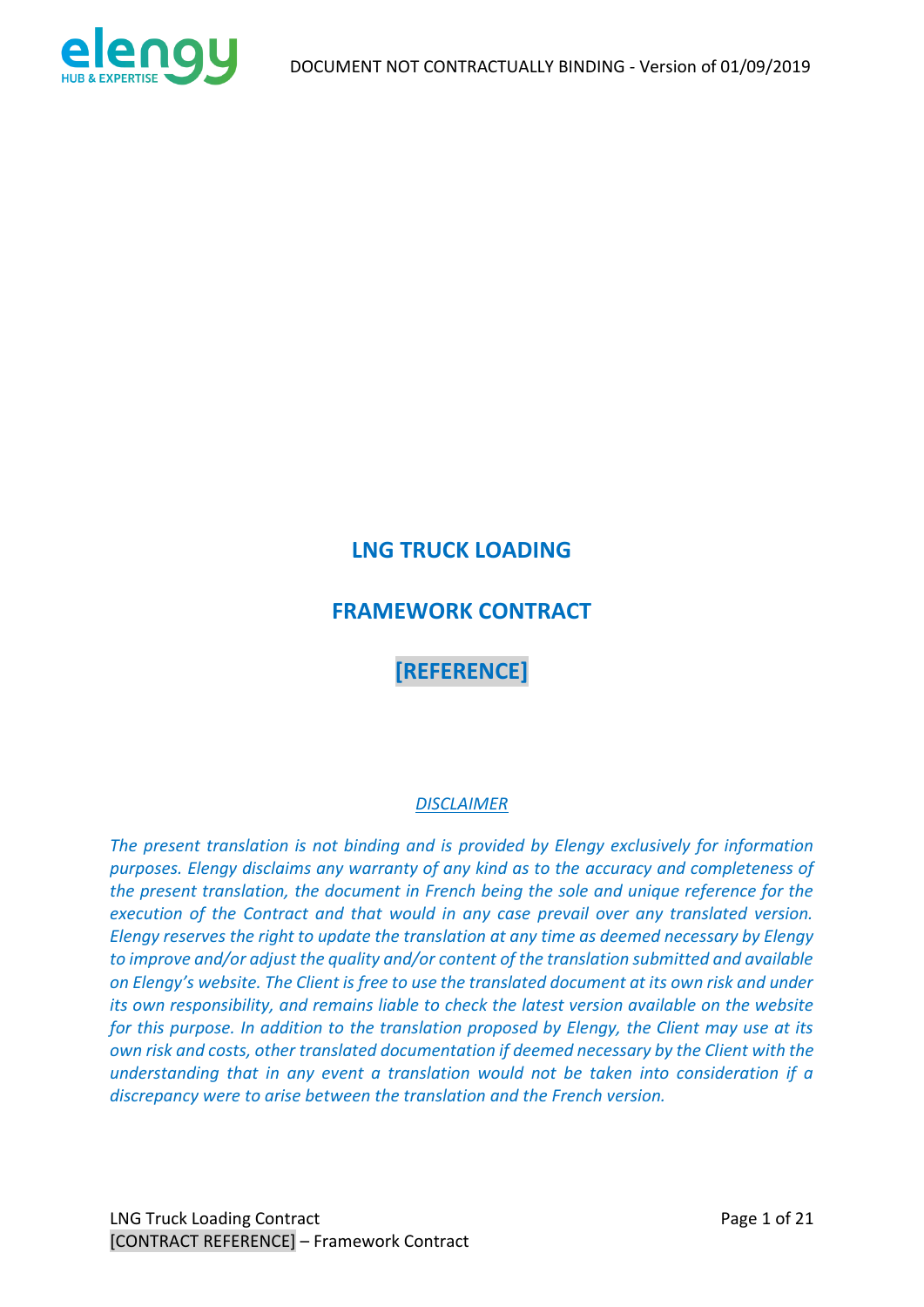

# **LNG TRUCK LOADING**

# **FRAMEWORK CONTRACT**

# **[REFERENCE]**

## *DISCLAIMER*

*The present translation is not binding and is provided by Elengy exclusively for information purposes. Elengy disclaims any warranty of any kind as to the accuracy and completeness of the present translation, the document in French being the sole and unique reference for the execution of the Contract and that would in any case prevail over any translated version. Elengy reserves the right to update the translation at any time as deemed necessary by Elengy to improve and/or adjust the quality and/or content of the translation submitted and available on Elengy's website. The Client is free to use the translated document at its own risk and under its own responsibility, and remains liable to check the latest version available on the website for this purpose. In addition to the translation proposed by Elengy, the Client may use at its own risk and costs, other translated documentation if deemed necessary by the Client with the understanding that in any event a translation would not be taken into consideration if a discrepancy were to arise between the translation and the French version.*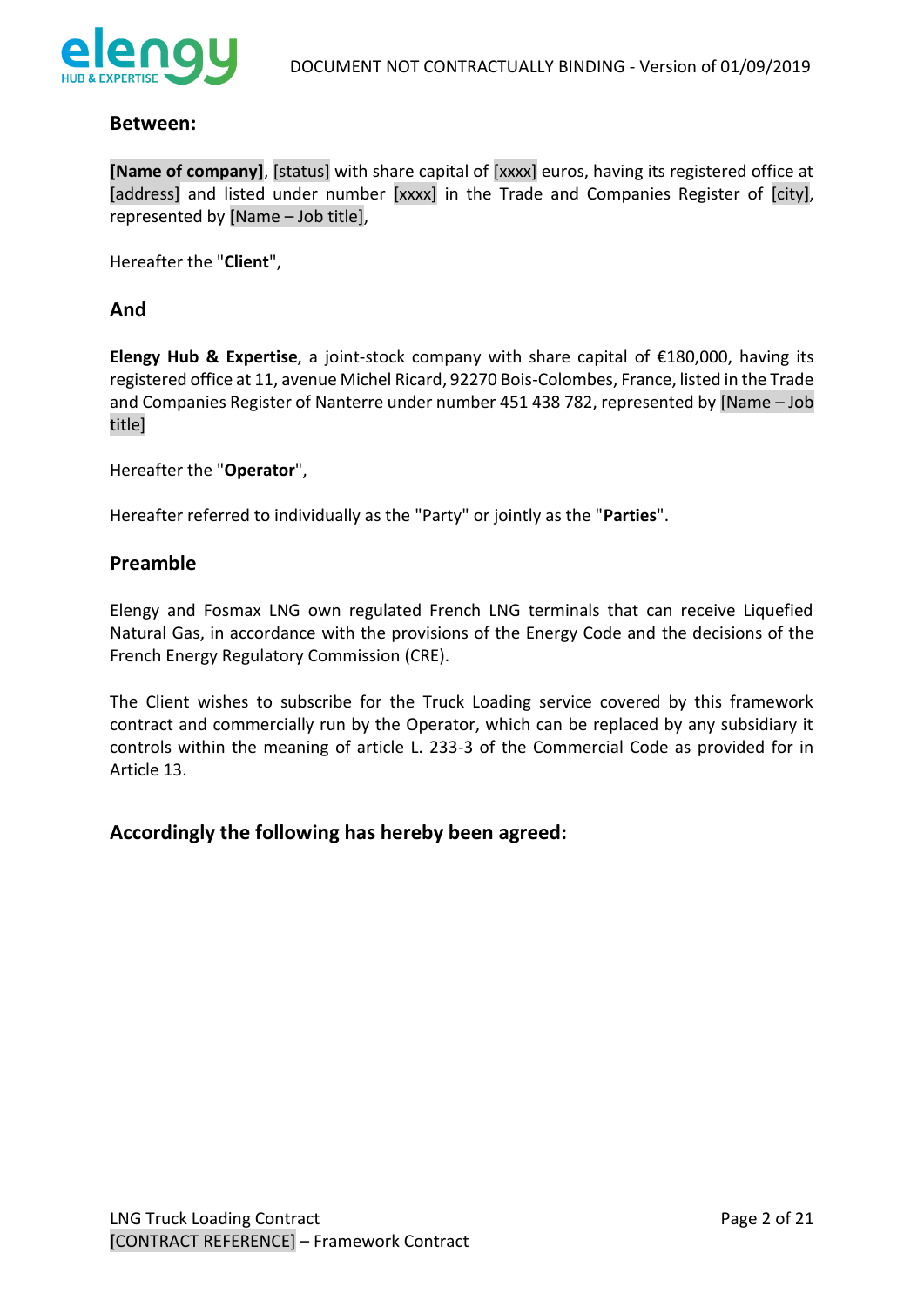

### **Between:**

**[Name of company]**, [status] with share capital of [xxxx] euros, having its registered office at [address] and listed under number [xxxx] in the Trade and Companies Register of [city], represented by [Name – Job title],

Hereafter the "**Client**",

### **And**

**Elengy Hub & Expertise**, a joint-stock company with share capital of €180,000, having its registered office at 11, avenue Michel Ricard, 92270 Bois-Colombes, France, listed in the Trade and Companies Register of Nanterre under number 451 438 782, represented by [Name – Job title]

Hereafter the "**Operator**",

Hereafter referred to individually as the "Party" or jointly as the "**Parties**".

### **Preamble**

Elengy and Fosmax LNG own regulated French LNG terminals that can receive Liquefied Natural Gas, in accordance with the provisions of the Energy Code and the decisions of the French Energy Regulatory Commission (CRE).

The Client wishes to subscribe for the Truck Loading service covered by this framework contract and commercially run by the Operator, which can be replaced by any subsidiary it controls within the meaning of article L. 233-3 of the Commercial Code as provided for in Article 13.

## **Accordingly the following has hereby been agreed:**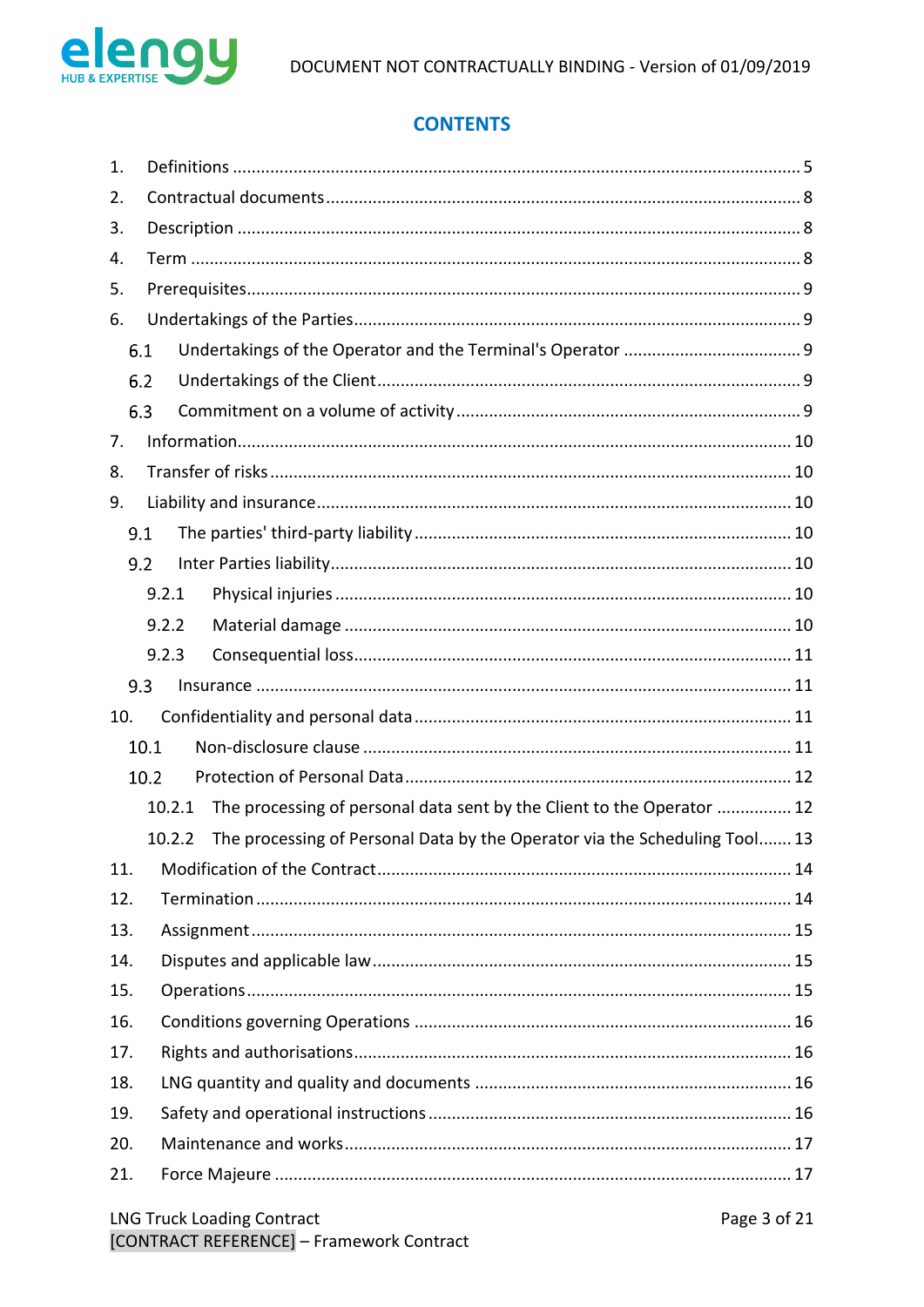

# **CONTENTS**

| 1.  |                                                                                      |  |  |  |  |  |
|-----|--------------------------------------------------------------------------------------|--|--|--|--|--|
| 2.  |                                                                                      |  |  |  |  |  |
| 3.  |                                                                                      |  |  |  |  |  |
| 4.  |                                                                                      |  |  |  |  |  |
| 5.  |                                                                                      |  |  |  |  |  |
| 6.  |                                                                                      |  |  |  |  |  |
|     | 6.1                                                                                  |  |  |  |  |  |
|     | 6.2                                                                                  |  |  |  |  |  |
|     | 6.3                                                                                  |  |  |  |  |  |
| 7.  |                                                                                      |  |  |  |  |  |
| 8.  |                                                                                      |  |  |  |  |  |
| 9.  |                                                                                      |  |  |  |  |  |
|     | 9.1                                                                                  |  |  |  |  |  |
|     | 9.2                                                                                  |  |  |  |  |  |
|     | 9.2.1                                                                                |  |  |  |  |  |
|     | 9.2.2                                                                                |  |  |  |  |  |
|     | 9.2.3                                                                                |  |  |  |  |  |
|     | 9.3                                                                                  |  |  |  |  |  |
| 10. |                                                                                      |  |  |  |  |  |
|     | 10.1                                                                                 |  |  |  |  |  |
|     | 10.2                                                                                 |  |  |  |  |  |
|     | The processing of personal data sent by the Client to the Operator  12<br>10.2.1     |  |  |  |  |  |
|     | The processing of Personal Data by the Operator via the Scheduling Tool 13<br>10.2.2 |  |  |  |  |  |
| 11. |                                                                                      |  |  |  |  |  |
| 12. |                                                                                      |  |  |  |  |  |
| 13. |                                                                                      |  |  |  |  |  |
| 14. |                                                                                      |  |  |  |  |  |
| 15. |                                                                                      |  |  |  |  |  |
| 16. |                                                                                      |  |  |  |  |  |
| 17. |                                                                                      |  |  |  |  |  |
| 18. |                                                                                      |  |  |  |  |  |
| 19. |                                                                                      |  |  |  |  |  |
| 20. |                                                                                      |  |  |  |  |  |
| 21. |                                                                                      |  |  |  |  |  |
|     |                                                                                      |  |  |  |  |  |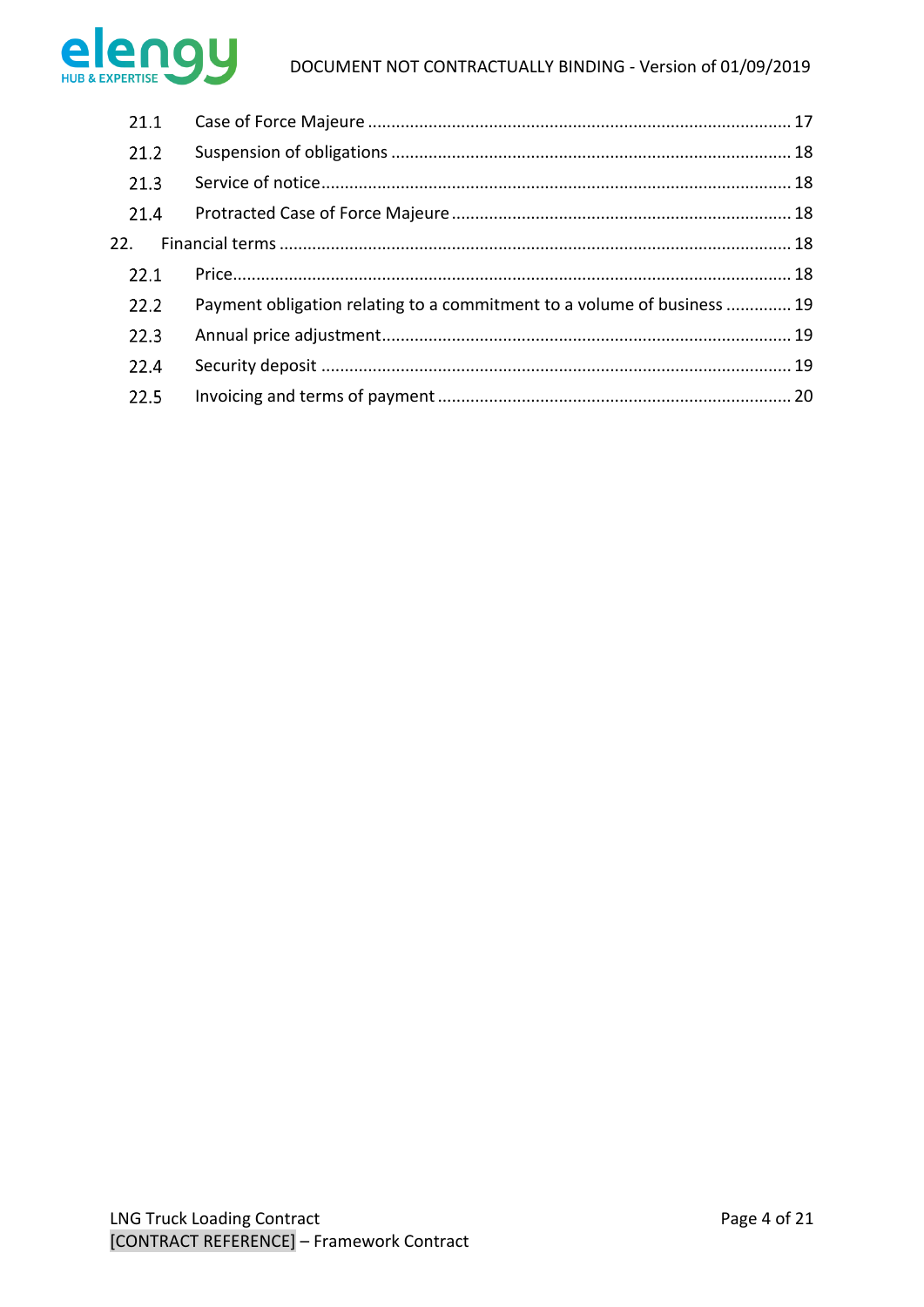

| 21.1 |                                                                         |  |
|------|-------------------------------------------------------------------------|--|
| 21.2 |                                                                         |  |
| 21.3 |                                                                         |  |
| 21.4 |                                                                         |  |
|      |                                                                         |  |
| 22.1 |                                                                         |  |
| 22.2 | Payment obligation relating to a commitment to a volume of business  19 |  |
| 22.3 |                                                                         |  |
| 22.4 |                                                                         |  |
| 22.5 |                                                                         |  |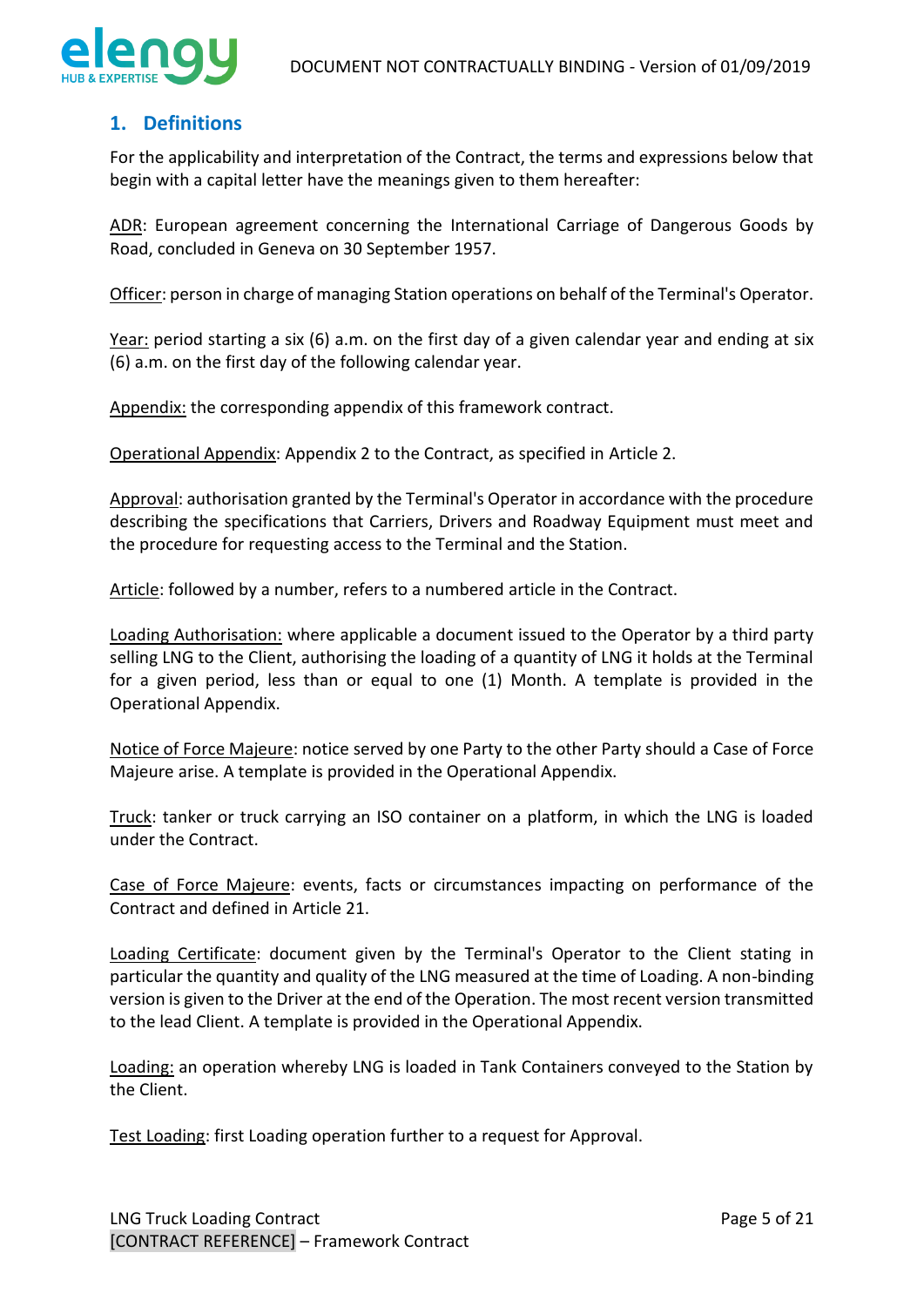

## <span id="page-4-0"></span>**1. Definitions**

For the applicability and interpretation of the Contract, the terms and expressions below that begin with a capital letter have the meanings given to them hereafter:

ADR: European agreement concerning the International Carriage of Dangerous Goods by Road, concluded in Geneva on 30 September 1957.

Officer: person in charge of managing Station operations on behalf of the Terminal's Operator.

Year: period starting a six (6) a.m. on the first day of a given calendar year and ending at six (6) a.m. on the first day of the following calendar year.

Appendix: the corresponding appendix of this framework contract.

Operational Appendix: Appendix 2 to the Contract, as specified in Article 2.

Approval: authorisation granted by the Terminal's Operator in accordance with the procedure describing the specifications that Carriers, Drivers and Roadway Equipment must meet and the procedure for requesting access to the Terminal and the Station.

Article: followed by a number, refers to a numbered article in the Contract.

Loading Authorisation: where applicable a document issued to the Operator by a third party selling LNG to the Client, authorising the loading of a quantity of LNG it holds at the Terminal for a given period, less than or equal to one (1) Month. A template is provided in the Operational Appendix.

Notice of Force Majeure: notice served by one Party to the other Party should a Case of Force Majeure arise. A template is provided in the Operational Appendix.

Truck: tanker or truck carrying an ISO container on a platform, in which the LNG is loaded under the Contract.

Case of Force Majeure: events, facts or circumstances impacting on performance of the Contract and defined in Article 21.

Loading Certificate: document given by the Terminal's Operator to the Client stating in particular the quantity and quality of the LNG measured at the time of Loading. A non-binding version is given to the Driver at the end of the Operation. The most recent version transmitted to the lead Client. A template is provided in the Operational Appendix.

Loading: an operation whereby LNG is loaded in Tank Containers conveyed to the Station by the Client.

Test Loading: first Loading operation further to a request for Approval.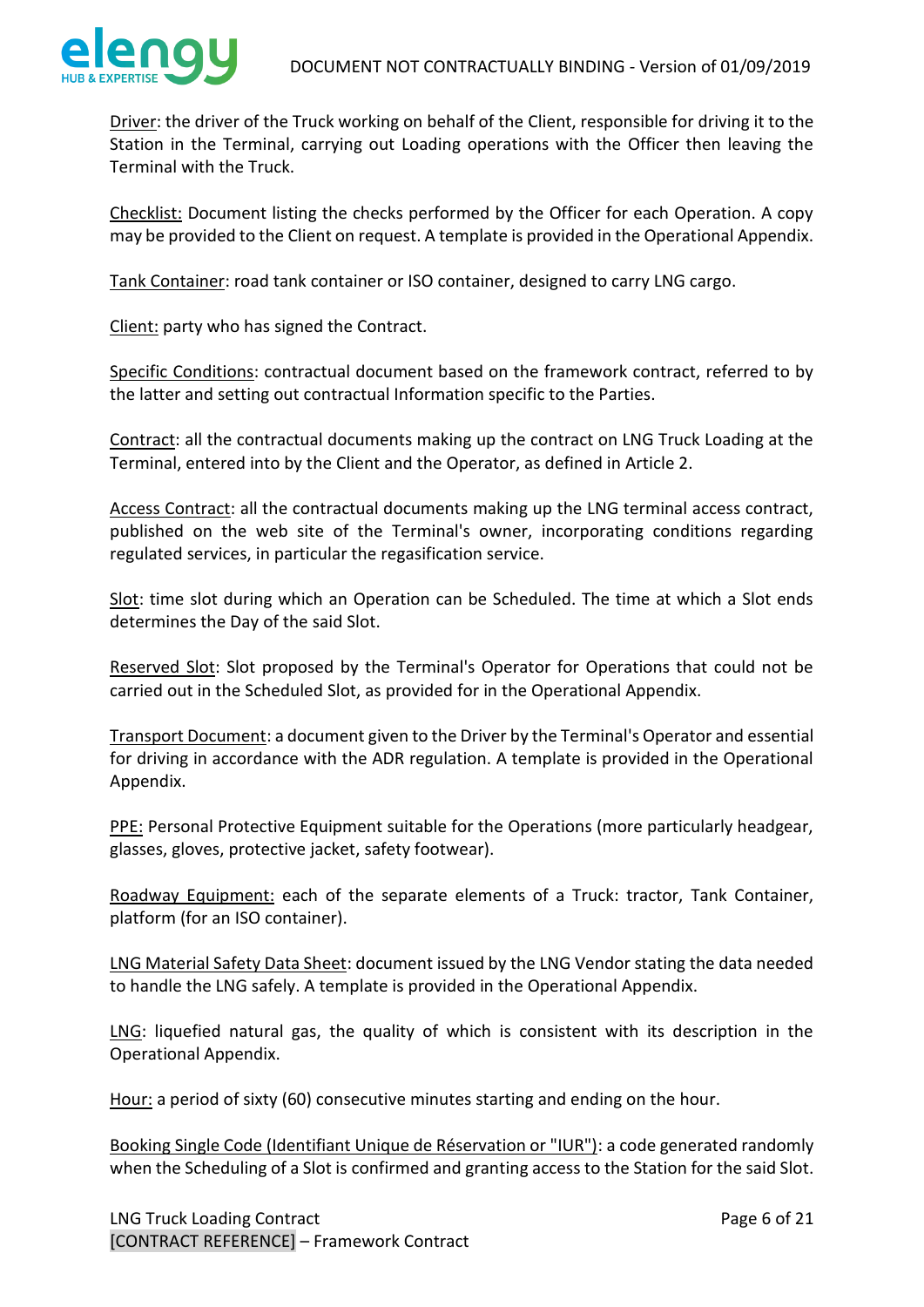

Driver: the driver of the Truck working on behalf of the Client, responsible for driving it to the Station in the Terminal, carrying out Loading operations with the Officer then leaving the Terminal with the Truck.

Checklist: Document listing the checks performed by the Officer for each Operation. A copy may be provided to the Client on request. A template is provided in the Operational Appendix.

Tank Container: road tank container or ISO container, designed to carry LNG cargo.

Client: party who has signed the Contract.

Specific Conditions: contractual document based on the framework contract, referred to by the latter and setting out contractual Information specific to the Parties.

Contract: all the contractual documents making up the contract on LNG Truck Loading at the Terminal, entered into by the Client and the Operator, as defined in Article 2.

Access Contract: all the contractual documents making up the LNG terminal access contract, published on the web site of the Terminal's owner, incorporating conditions regarding regulated services, in particular the regasification service.

Slot: time slot during which an Operation can be Scheduled. The time at which a Slot ends determines the Day of the said Slot.

Reserved Slot: Slot proposed by the Terminal's Operator for Operations that could not be carried out in the Scheduled Slot, as provided for in the Operational Appendix.

Transport Document: a document given to the Driver by the Terminal's Operator and essential for driving in accordance with the ADR regulation. A template is provided in the Operational Appendix.

PPE: Personal Protective Equipment suitable for the Operations (more particularly headgear, glasses, gloves, protective jacket, safety footwear).

Roadway Equipment: each of the separate elements of a Truck: tractor, Tank Container, platform (for an ISO container).

LNG Material Safety Data Sheet: document issued by the LNG Vendor stating the data needed to handle the LNG safely. A template is provided in the Operational Appendix.

LNG: liquefied natural gas, the quality of which is consistent with its description in the Operational Appendix.

Hour: a period of sixty (60) consecutive minutes starting and ending on the hour.

Booking Single Code (Identifiant Unique de Réservation or "IUR"): a code generated randomly when the Scheduling of a Slot is confirmed and granting access to the Station for the said Slot.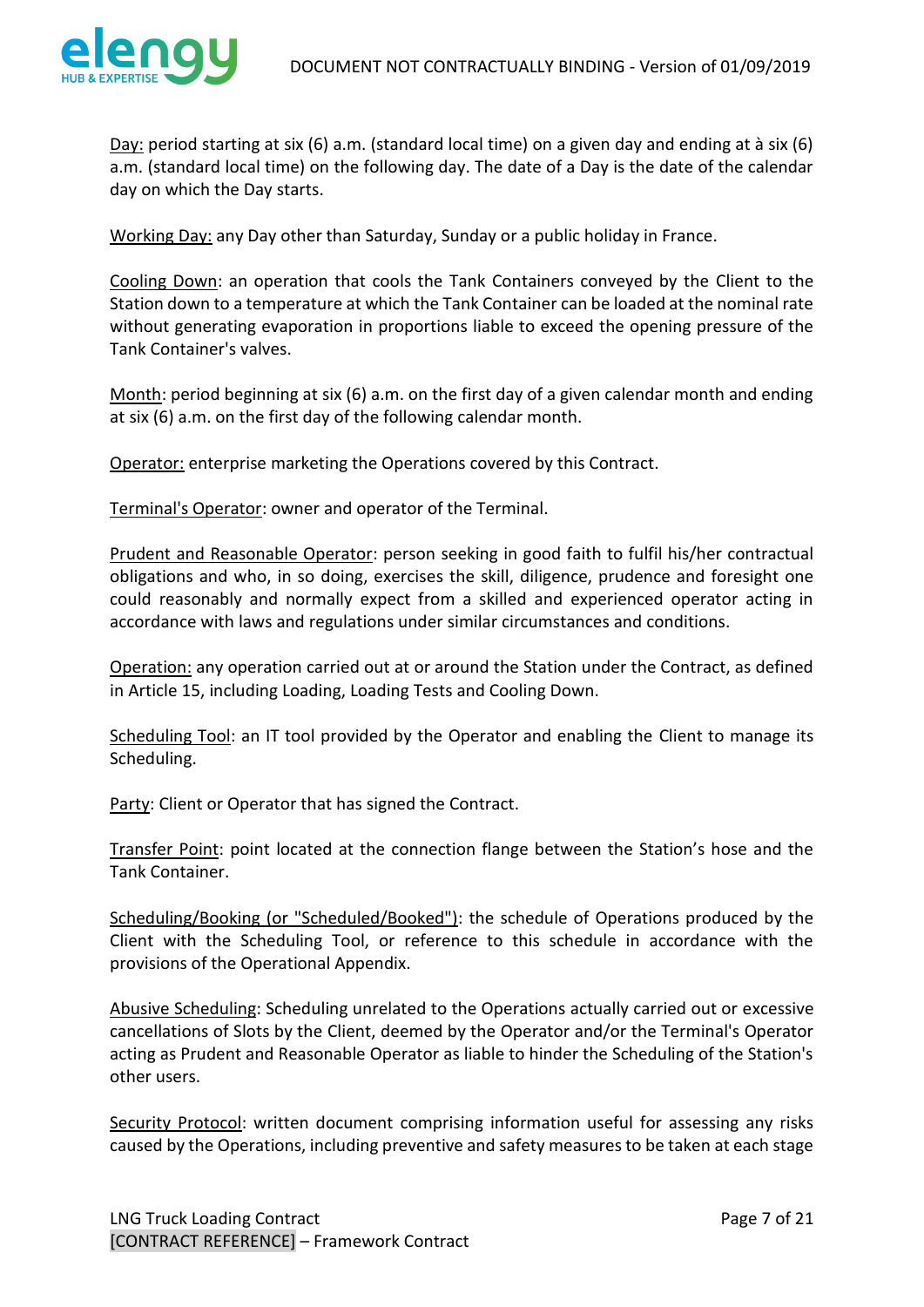

Day: period starting at six (6) a.m. (standard local time) on a given day and ending at à six (6) a.m. (standard local time) on the following day. The date of a Day is the date of the calendar day on which the Day starts.

Working Day: any Day other than Saturday, Sunday or a public holiday in France.

Cooling Down: an operation that cools the Tank Containers conveyed by the Client to the Station down to a temperature at which the Tank Container can be loaded at the nominal rate without generating evaporation in proportions liable to exceed the opening pressure of the Tank Container's valves.

Month: period beginning at six (6) a.m. on the first day of a given calendar month and ending at six (6) a.m. on the first day of the following calendar month.

Operator: enterprise marketing the Operations covered by this Contract.

Terminal's Operator: owner and operator of the Terminal.

Prudent and Reasonable Operator: person seeking in good faith to fulfil his/her contractual obligations and who, in so doing, exercises the skill, diligence, prudence and foresight one could reasonably and normally expect from a skilled and experienced operator acting in accordance with laws and regulations under similar circumstances and conditions.

Operation: any operation carried out at or around the Station under the Contract, as defined in Article 15, including Loading, Loading Tests and Cooling Down.

Scheduling Tool: an IT tool provided by the Operator and enabling the Client to manage its Scheduling.

Party: Client or Operator that has signed the Contract.

Transfer Point: point located at the connection flange between the Station's hose and the Tank Container.

Scheduling/Booking (or "Scheduled/Booked"): the schedule of Operations produced by the Client with the Scheduling Tool, or reference to this schedule in accordance with the provisions of the Operational Appendix.

Abusive Scheduling: Scheduling unrelated to the Operations actually carried out or excessive cancellations of Slots by the Client, deemed by the Operator and/or the Terminal's Operator acting as Prudent and Reasonable Operator as liable to hinder the Scheduling of the Station's other users.

Security Protocol: written document comprising information useful for assessing any risks caused by the Operations, including preventive and safety measures to be taken at each stage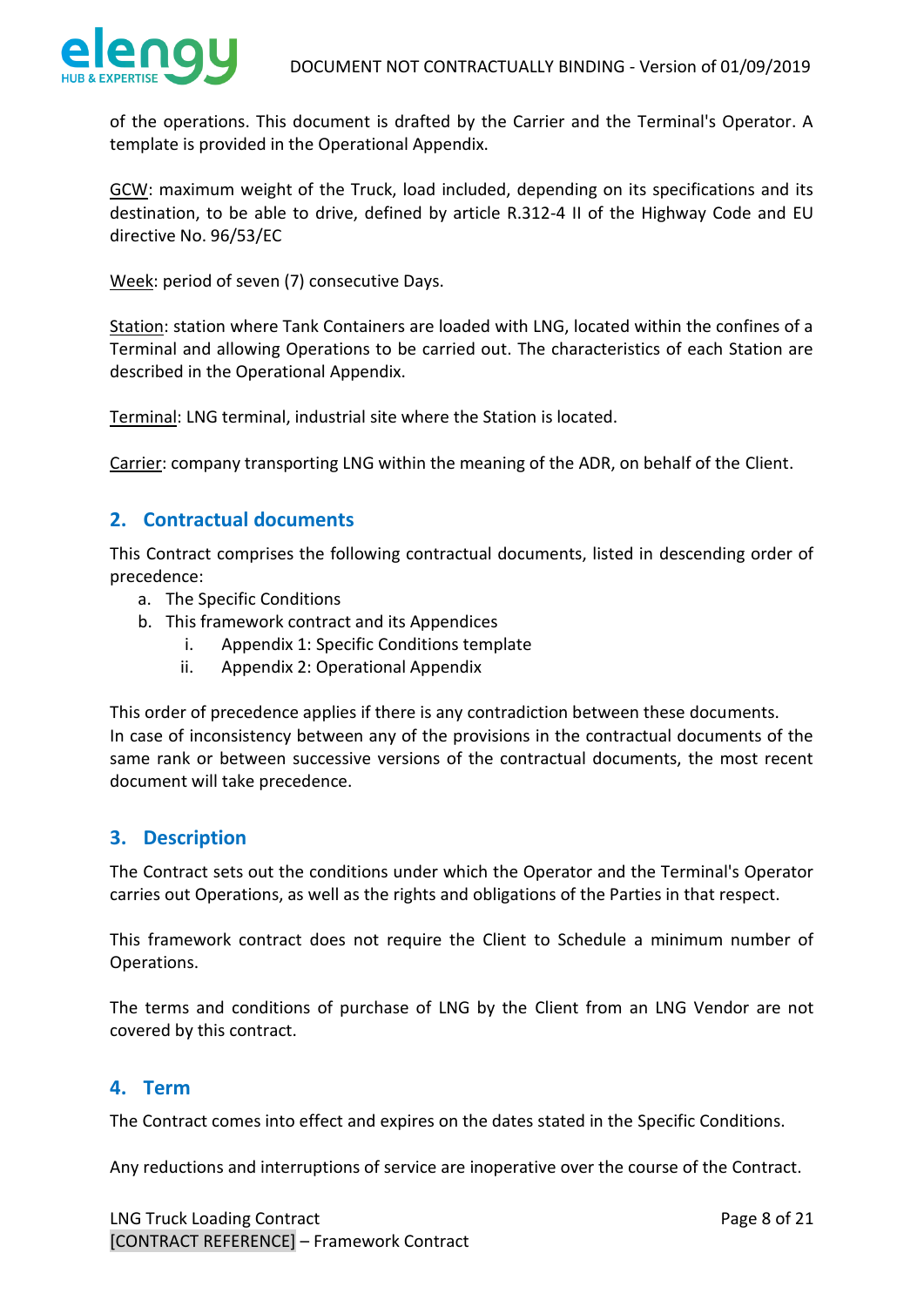

of the operations. This document is drafted by the Carrier and the Terminal's Operator. A template is provided in the Operational Appendix.

GCW: maximum weight of the Truck, load included, depending on its specifications and its destination, to be able to drive, defined by article R.312-4 II of the Highway Code and EU directive No. 96/53/EC

Week: period of seven (7) consecutive Days.

Station: station where Tank Containers are loaded with LNG, located within the confines of a Terminal and allowing Operations to be carried out. The characteristics of each Station are described in the Operational Appendix.

Terminal: LNG terminal, industrial site where the Station is located.

Carrier: company transporting LNG within the meaning of the ADR, on behalf of the Client.

### <span id="page-7-0"></span>**2. Contractual documents**

This Contract comprises the following contractual documents, listed in descending order of precedence:

- a. The Specific Conditions
- b. This framework contract and its Appendices
	- i. Appendix 1: Specific Conditions template
	- ii. Appendix 2: Operational Appendix

This order of precedence applies if there is any contradiction between these documents. In case of inconsistency between any of the provisions in the contractual documents of the same rank or between successive versions of the contractual documents, the most recent document will take precedence.

### <span id="page-7-1"></span>**3. Description**

The Contract sets out the conditions under which the Operator and the Terminal's Operator carries out Operations, as well as the rights and obligations of the Parties in that respect.

This framework contract does not require the Client to Schedule a minimum number of Operations.

The terms and conditions of purchase of LNG by the Client from an LNG Vendor are not covered by this contract.

## <span id="page-7-2"></span>**4. Term**

The Contract comes into effect and expires on the dates stated in the Specific Conditions.

Any reductions and interruptions of service are inoperative over the course of the Contract.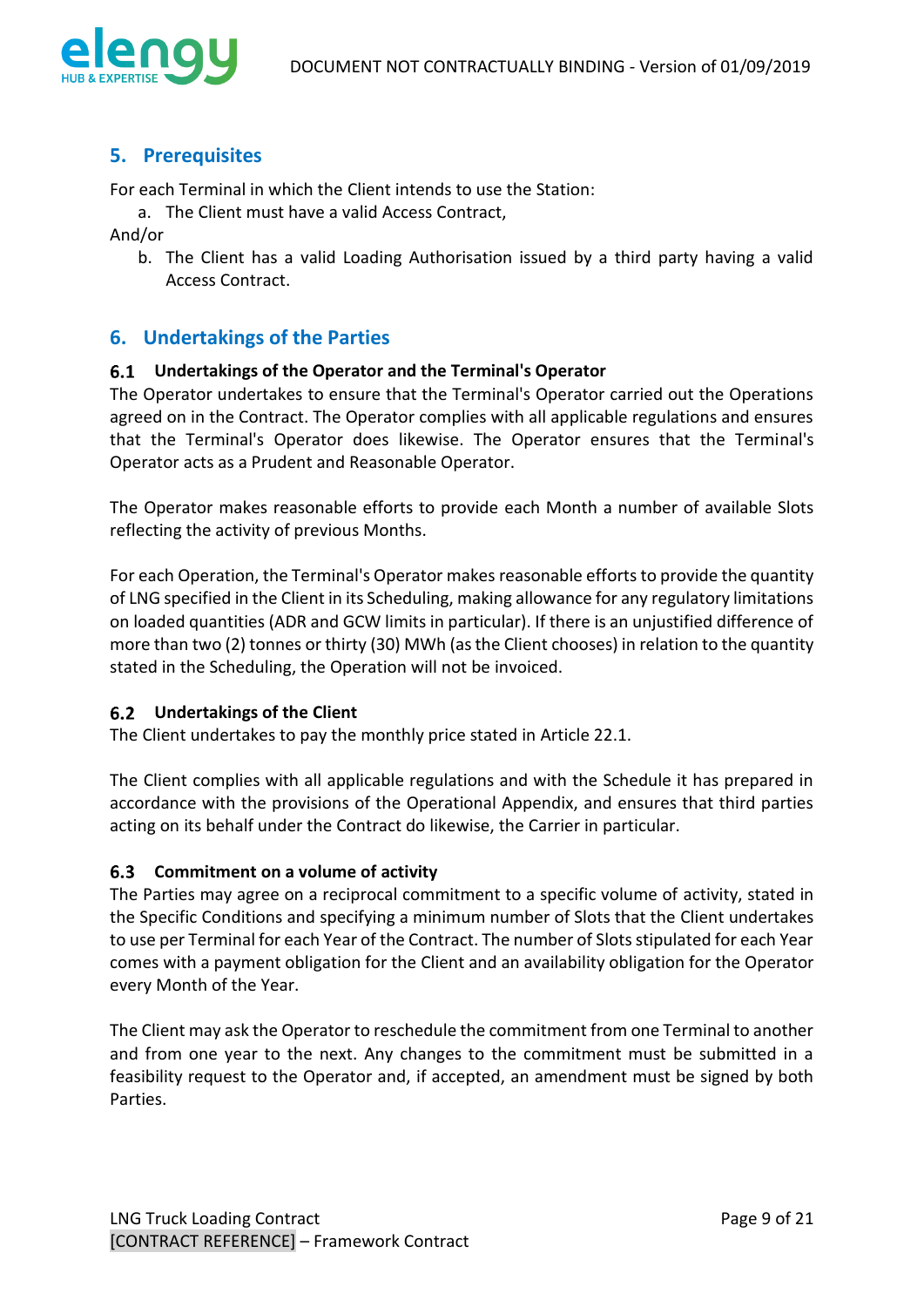

## <span id="page-8-0"></span>**5. Prerequisites**

For each Terminal in which the Client intends to use the Station:

a. The Client must have a valid Access Contract,

And/or

b. The Client has a valid Loading Authorisation issued by a third party having a valid Access Contract.

## <span id="page-8-1"></span>**6. Undertakings of the Parties**

### <span id="page-8-2"></span>**Undertakings of the Operator and the Terminal's Operator**

The Operator undertakes to ensure that the Terminal's Operator carried out the Operations agreed on in the Contract. The Operator complies with all applicable regulations and ensures that the Terminal's Operator does likewise. The Operator ensures that the Terminal's Operator acts as a Prudent and Reasonable Operator.

The Operator makes reasonable efforts to provide each Month a number of available Slots reflecting the activity of previous Months.

For each Operation, the Terminal's Operator makes reasonable efforts to provide the quantity of LNG specified in the Client in its Scheduling, making allowance for any regulatory limitations on loaded quantities (ADR and GCW limits in particular). If there is an unjustified difference of more than two (2) tonnes or thirty (30) MWh (as the Client chooses) in relation to the quantity stated in the Scheduling, the Operation will not be invoiced.

### <span id="page-8-3"></span>**Undertakings of the Client**

The Client undertakes to pay the monthly price stated in Article 22.1.

The Client complies with all applicable regulations and with the Schedule it has prepared in accordance with the provisions of the Operational Appendix, and ensures that third parties acting on its behalf under the Contract do likewise, the Carrier in particular.

#### <span id="page-8-4"></span>**Commitment on a volume of activity**

The Parties may agree on a reciprocal commitment to a specific volume of activity, stated in the Specific Conditions and specifying a minimum number of Slots that the Client undertakes to use per Terminal for each Year of the Contract. The number of Slots stipulated for each Year comes with a payment obligation for the Client and an availability obligation for the Operator every Month of the Year.

The Client may ask the Operator to reschedule the commitment from one Terminal to another and from one year to the next. Any changes to the commitment must be submitted in a feasibility request to the Operator and, if accepted, an amendment must be signed by both **Parties**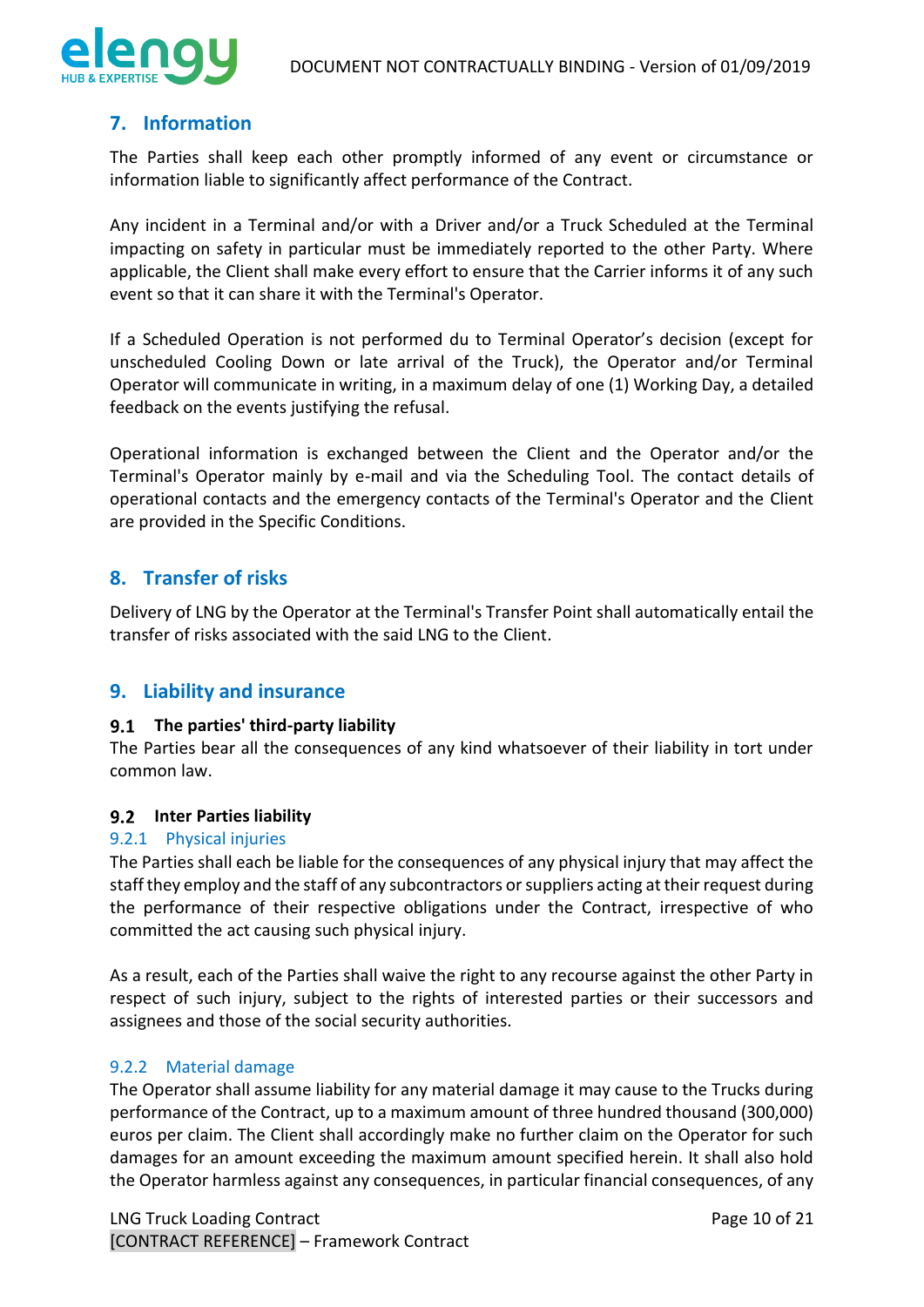

## <span id="page-9-0"></span>**7. Information**

The Parties shall keep each other promptly informed of any event or circumstance or information liable to significantly affect performance of the Contract.

Any incident in a Terminal and/or with a Driver and/or a Truck Scheduled at the Terminal impacting on safety in particular must be immediately reported to the other Party. Where applicable, the Client shall make every effort to ensure that the Carrier informs it of any such event so that it can share it with the Terminal's Operator.

If a Scheduled Operation is not performed du to Terminal Operator's decision (except for unscheduled Cooling Down or late arrival of the Truck), the Operator and/or Terminal Operator will communicate in writing, in a maximum delay of one (1) Working Day, a detailed feedback on the events justifying the refusal.

Operational information is exchanged between the Client and the Operator and/or the Terminal's Operator mainly by e-mail and via the Scheduling Tool. The contact details of operational contacts and the emergency contacts of the Terminal's Operator and the Client are provided in the Specific Conditions.

## <span id="page-9-1"></span>**8. Transfer of risks**

Delivery of LNG by the Operator at the Terminal's Transfer Point shall automatically entail the transfer of risks associated with the said LNG to the Client.

## <span id="page-9-2"></span>**9. Liability and insurance**

#### <span id="page-9-3"></span>**The parties' third-party liability**

The Parties bear all the consequences of any kind whatsoever of their liability in tort under common law.

#### <span id="page-9-4"></span>**Inter Parties liability**

#### <span id="page-9-5"></span>9.2.1 Physical injuries

The Parties shall each be liable for the consequences of any physical injury that may affect the staff they employ and the staff of any subcontractors or suppliers acting at their request during the performance of their respective obligations under the Contract, irrespective of who committed the act causing such physical injury.

As a result, each of the Parties shall waive the right to any recourse against the other Party in respect of such injury, subject to the rights of interested parties or their successors and assignees and those of the social security authorities.

#### <span id="page-9-6"></span>9.2.2 Material damage

The Operator shall assume liability for any material damage it may cause to the Trucks during performance of the Contract, up to a maximum amount of three hundred thousand (300,000) euros per claim. The Client shall accordingly make no further claim on the Operator for such damages for an amount exceeding the maximum amount specified herein. It shall also hold the Operator harmless against any consequences, in particular financial consequences, of any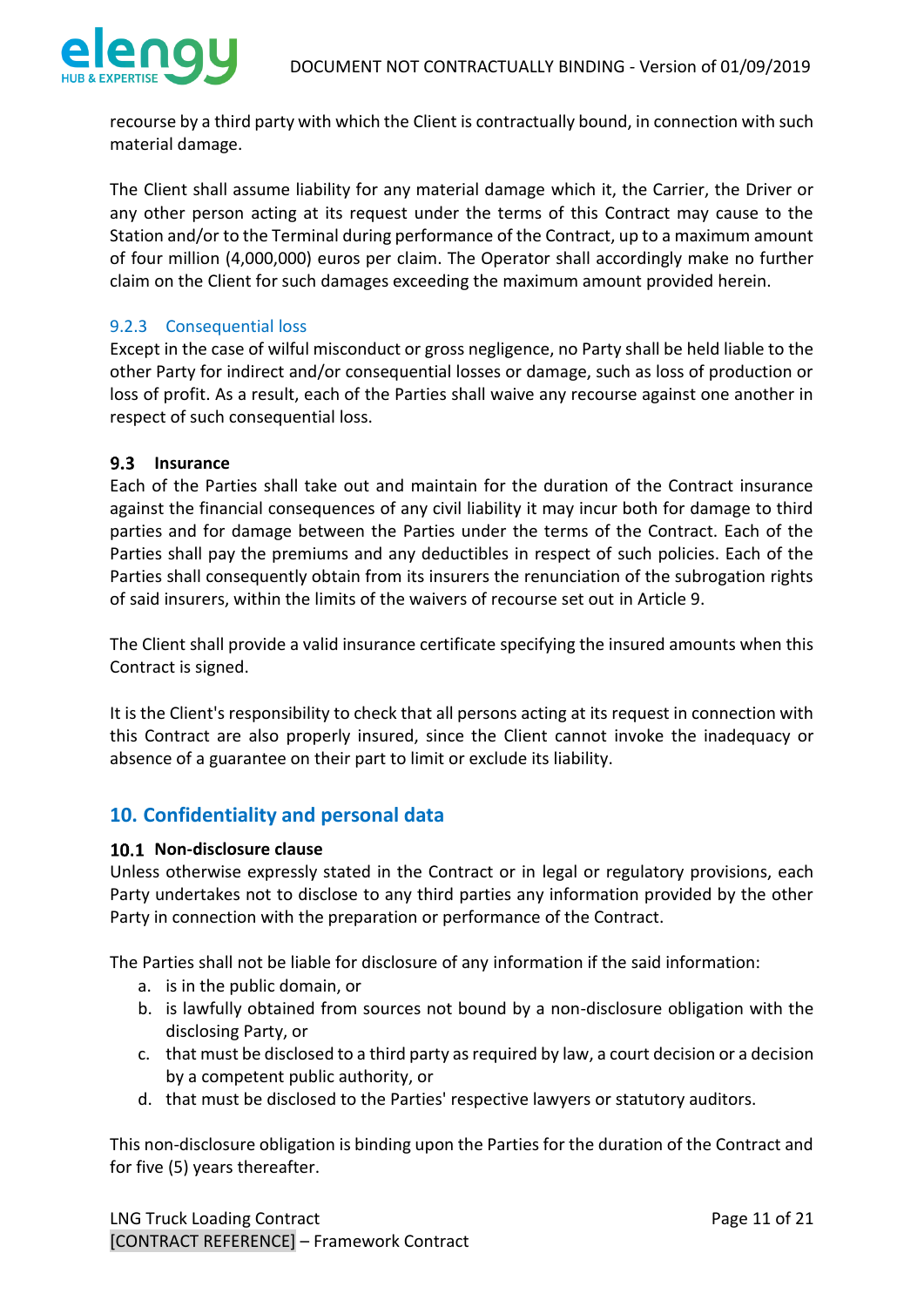

recourse by a third party with which the Client is contractually bound, in connection with such material damage.

The Client shall assume liability for any material damage which it, the Carrier, the Driver or any other person acting at its request under the terms of this Contract may cause to the Station and/or to the Terminal during performance of the Contract, up to a maximum amount of four million (4,000,000) euros per claim. The Operator shall accordingly make no further claim on the Client for such damages exceeding the maximum amount provided herein.

### <span id="page-10-0"></span>9.2.3 Consequential loss

Except in the case of wilful misconduct or gross negligence, no Party shall be held liable to the other Party for indirect and/or consequential losses or damage, such as loss of production or loss of profit. As a result, each of the Parties shall waive any recourse against one another in respect of such consequential loss.

### <span id="page-10-1"></span>**9.3** Insurance

Each of the Parties shall take out and maintain for the duration of the Contract insurance against the financial consequences of any civil liability it may incur both for damage to third parties and for damage between the Parties under the terms of the Contract. Each of the Parties shall pay the premiums and any deductibles in respect of such policies. Each of the Parties shall consequently obtain from its insurers the renunciation of the subrogation rights of said insurers, within the limits of the waivers of recourse set out in Article 9.

The Client shall provide a valid insurance certificate specifying the insured amounts when this Contract is signed.

It is the Client's responsibility to check that all persons acting at its request in connection with this Contract are also properly insured, since the Client cannot invoke the inadequacy or absence of a guarantee on their part to limit or exclude its liability.

## <span id="page-10-2"></span>**10. Confidentiality and personal data**

#### <span id="page-10-3"></span>10.1 Non-disclosure clause

Unless otherwise expressly stated in the Contract or in legal or regulatory provisions, each Party undertakes not to disclose to any third parties any information provided by the other Party in connection with the preparation or performance of the Contract.

The Parties shall not be liable for disclosure of any information if the said information:

- a. is in the public domain, or
- b. is lawfully obtained from sources not bound by a non-disclosure obligation with the disclosing Party, or
- c. that must be disclosed to a third party as required by law, a court decision or a decision by a competent public authority, or
- d. that must be disclosed to the Parties' respective lawyers or statutory auditors.

This non-disclosure obligation is binding upon the Parties for the duration of the Contract and for five (5) years thereafter.

LNG Truck Loading Contract **Page 11 of 21** [CONTRACT REFERENCE] – Framework Contract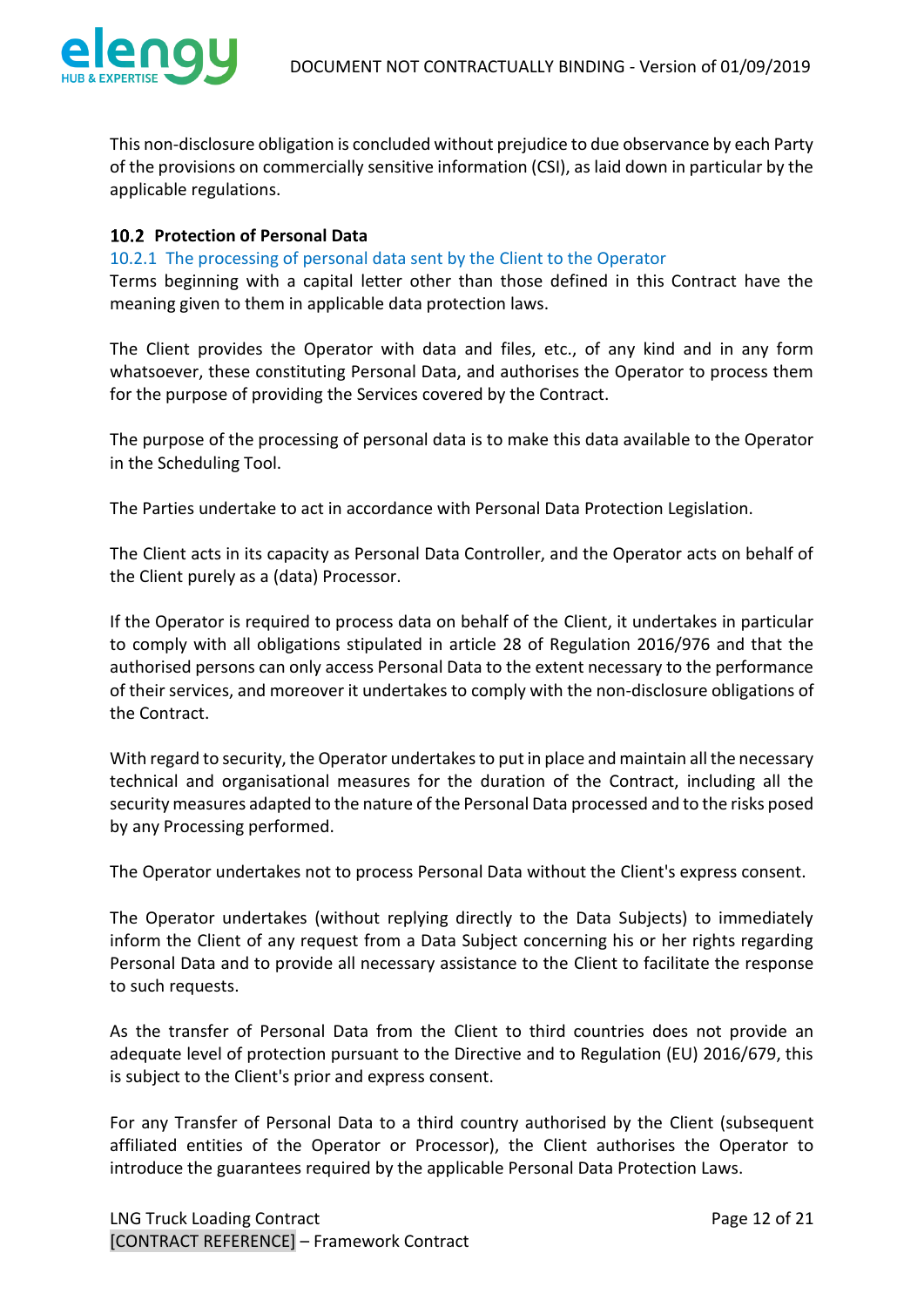

This non-disclosure obligation is concluded without prejudice to due observance by each Party of the provisions on commercially sensitive information (CSI), as laid down in particular by the applicable regulations.

### <span id="page-11-0"></span>**Protection of Personal Data**

#### <span id="page-11-1"></span>10.2.1 The processing of personal data sent by the Client to the Operator

Terms beginning with a capital letter other than those defined in this Contract have the meaning given to them in applicable data protection laws.

The Client provides the Operator with data and files, etc., of any kind and in any form whatsoever, these constituting Personal Data, and authorises the Operator to process them for the purpose of providing the Services covered by the Contract.

The purpose of the processing of personal data is to make this data available to the Operator in the Scheduling Tool.

The Parties undertake to act in accordance with Personal Data Protection Legislation.

The Client acts in its capacity as Personal Data Controller, and the Operator acts on behalf of the Client purely as a (data) Processor.

If the Operator is required to process data on behalf of the Client, it undertakes in particular to comply with all obligations stipulated in article 28 of Regulation 2016/976 and that the authorised persons can only access Personal Data to the extent necessary to the performance of their services, and moreover it undertakes to comply with the non-disclosure obligations of the Contract.

With regard to security, the Operator undertakes to put in place and maintain all the necessary technical and organisational measures for the duration of the Contract, including all the security measures adapted to the nature of the Personal Data processed and to the risks posed by any Processing performed.

The Operator undertakes not to process Personal Data without the Client's express consent.

The Operator undertakes (without replying directly to the Data Subjects) to immediately inform the Client of any request from a Data Subject concerning his or her rights regarding Personal Data and to provide all necessary assistance to the Client to facilitate the response to such requests.

As the transfer of Personal Data from the Client to third countries does not provide an adequate level of protection pursuant to the Directive and to Regulation (EU) 2016/679, this is subject to the Client's prior and express consent.

For any Transfer of Personal Data to a third country authorised by the Client (subsequent affiliated entities of the Operator or Processor), the Client authorises the Operator to introduce the guarantees required by the applicable Personal Data Protection Laws.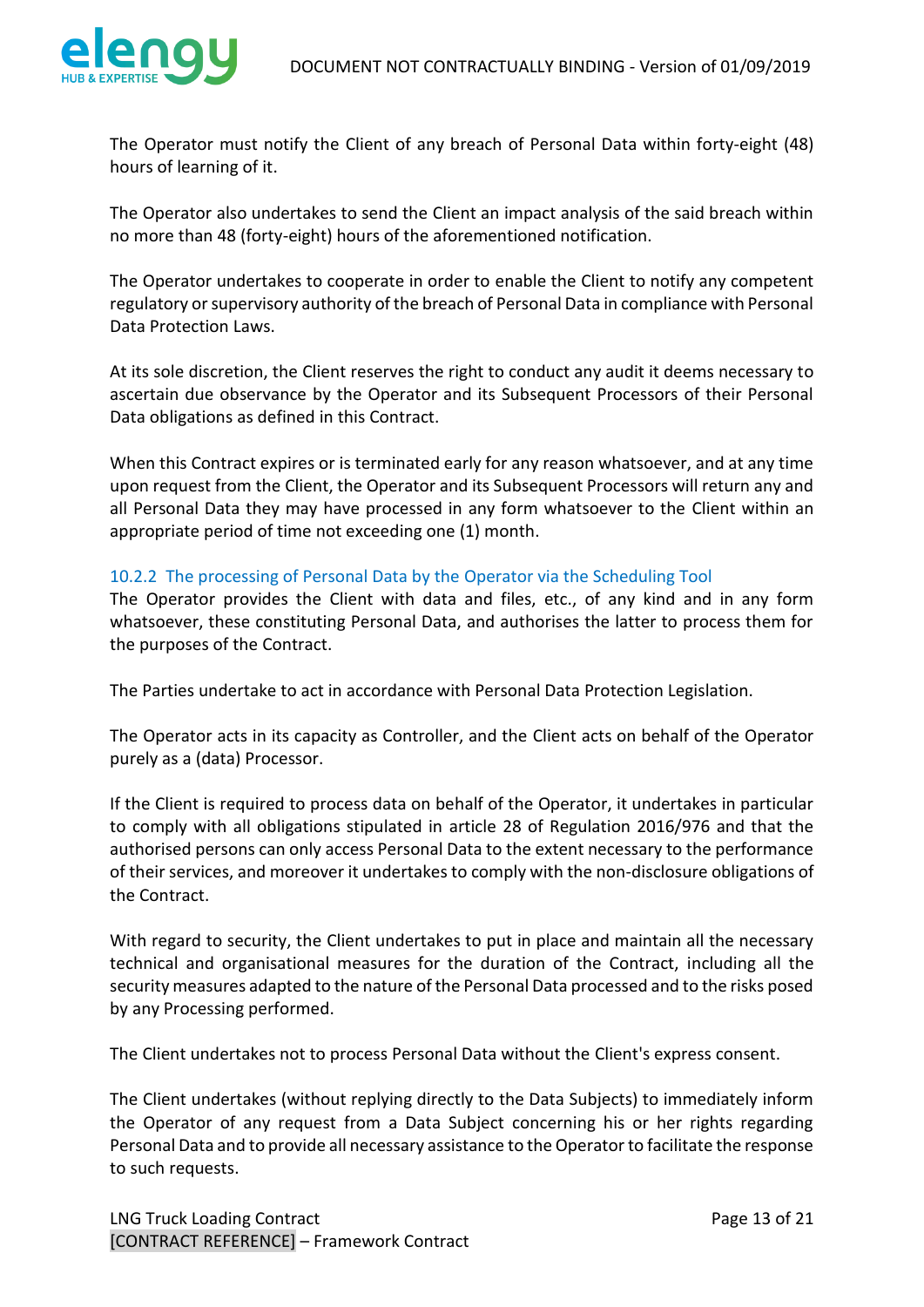

The Operator must notify the Client of any breach of Personal Data within forty-eight (48) hours of learning of it.

The Operator also undertakes to send the Client an impact analysis of the said breach within no more than 48 (forty-eight) hours of the aforementioned notification.

The Operator undertakes to cooperate in order to enable the Client to notify any competent regulatory or supervisory authority of the breach of Personal Data in compliance with Personal Data Protection Laws.

At its sole discretion, the Client reserves the right to conduct any audit it deems necessary to ascertain due observance by the Operator and its Subsequent Processors of their Personal Data obligations as defined in this Contract.

When this Contract expires or is terminated early for any reason whatsoever, and at any time upon request from the Client, the Operator and its Subsequent Processors will return any and all Personal Data they may have processed in any form whatsoever to the Client within an appropriate period of time not exceeding one (1) month.

#### <span id="page-12-0"></span>10.2.2 The processing of Personal Data by the Operator via the Scheduling Tool

The Operator provides the Client with data and files, etc., of any kind and in any form whatsoever, these constituting Personal Data, and authorises the latter to process them for the purposes of the Contract.

The Parties undertake to act in accordance with Personal Data Protection Legislation.

The Operator acts in its capacity as Controller, and the Client acts on behalf of the Operator purely as a (data) Processor.

If the Client is required to process data on behalf of the Operator, it undertakes in particular to comply with all obligations stipulated in article 28 of Regulation 2016/976 and that the authorised persons can only access Personal Data to the extent necessary to the performance of their services, and moreover it undertakes to comply with the non-disclosure obligations of the Contract.

With regard to security, the Client undertakes to put in place and maintain all the necessary technical and organisational measures for the duration of the Contract, including all the security measures adapted to the nature of the Personal Data processed and to the risks posed by any Processing performed.

The Client undertakes not to process Personal Data without the Client's express consent.

The Client undertakes (without replying directly to the Data Subjects) to immediately inform the Operator of any request from a Data Subject concerning his or her rights regarding Personal Data and to provide all necessary assistance to the Operator to facilitate the response to such requests.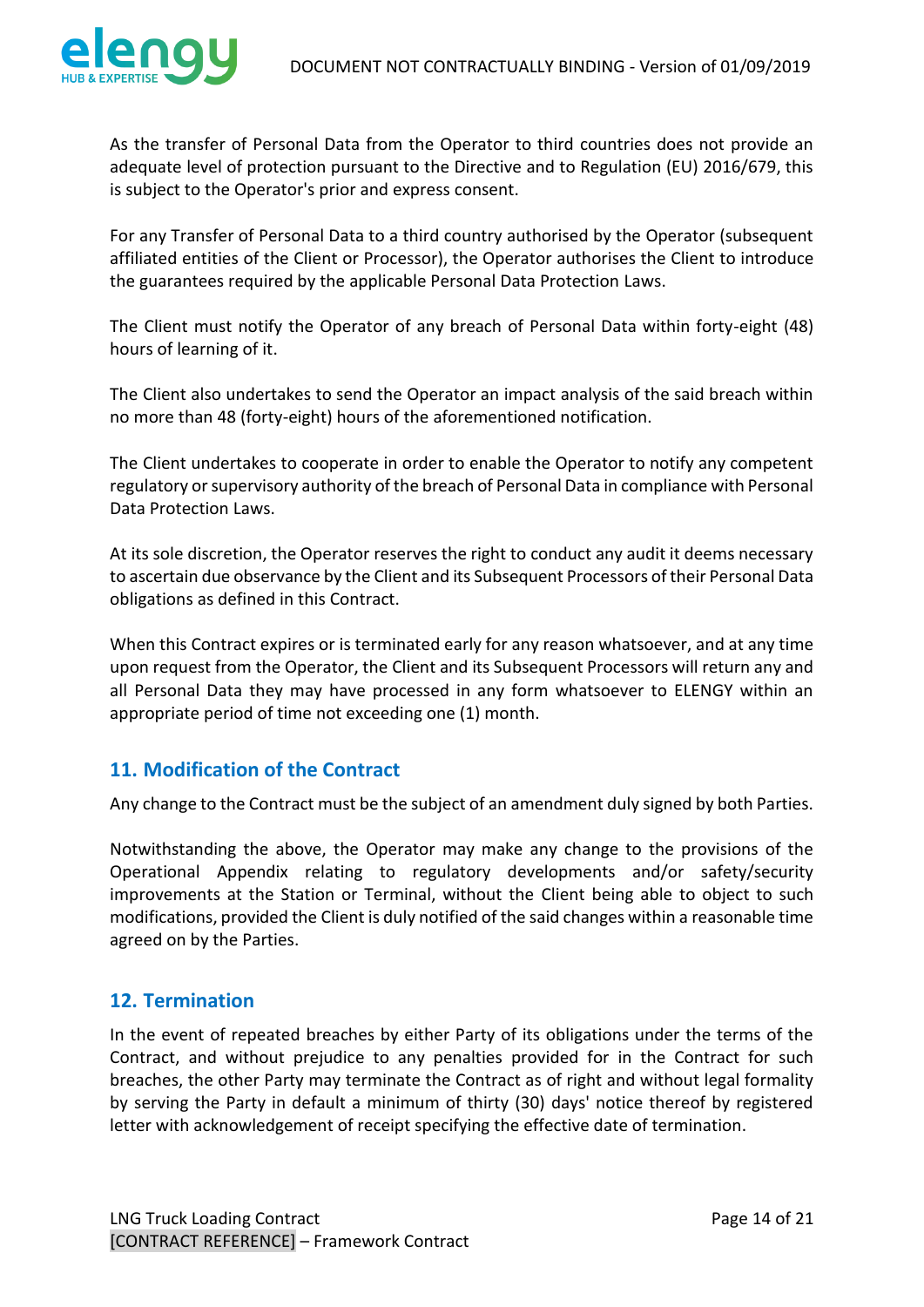

As the transfer of Personal Data from the Operator to third countries does not provide an adequate level of protection pursuant to the Directive and to Regulation (EU) 2016/679, this is subject to the Operator's prior and express consent.

For any Transfer of Personal Data to a third country authorised by the Operator (subsequent affiliated entities of the Client or Processor), the Operator authorises the Client to introduce the guarantees required by the applicable Personal Data Protection Laws.

The Client must notify the Operator of any breach of Personal Data within forty-eight (48) hours of learning of it.

The Client also undertakes to send the Operator an impact analysis of the said breach within no more than 48 (forty-eight) hours of the aforementioned notification.

The Client undertakes to cooperate in order to enable the Operator to notify any competent regulatory or supervisory authority of the breach of Personal Data in compliance with Personal Data Protection Laws.

At its sole discretion, the Operator reserves the right to conduct any audit it deems necessary to ascertain due observance by the Client and its Subsequent Processors of their Personal Data obligations as defined in this Contract.

When this Contract expires or is terminated early for any reason whatsoever, and at any time upon request from the Operator, the Client and its Subsequent Processors will return any and all Personal Data they may have processed in any form whatsoever to ELENGY within an appropriate period of time not exceeding one (1) month.

## <span id="page-13-0"></span>**11. Modification of the Contract**

Any change to the Contract must be the subject of an amendment duly signed by both Parties.

Notwithstanding the above, the Operator may make any change to the provisions of the Operational Appendix relating to regulatory developments and/or safety/security improvements at the Station or Terminal, without the Client being able to object to such modifications, provided the Client is duly notified of the said changes within a reasonable time agreed on by the Parties.

## <span id="page-13-1"></span>**12. Termination**

In the event of repeated breaches by either Party of its obligations under the terms of the Contract, and without prejudice to any penalties provided for in the Contract for such breaches, the other Party may terminate the Contract as of right and without legal formality by serving the Party in default a minimum of thirty (30) days' notice thereof by registered letter with acknowledgement of receipt specifying the effective date of termination.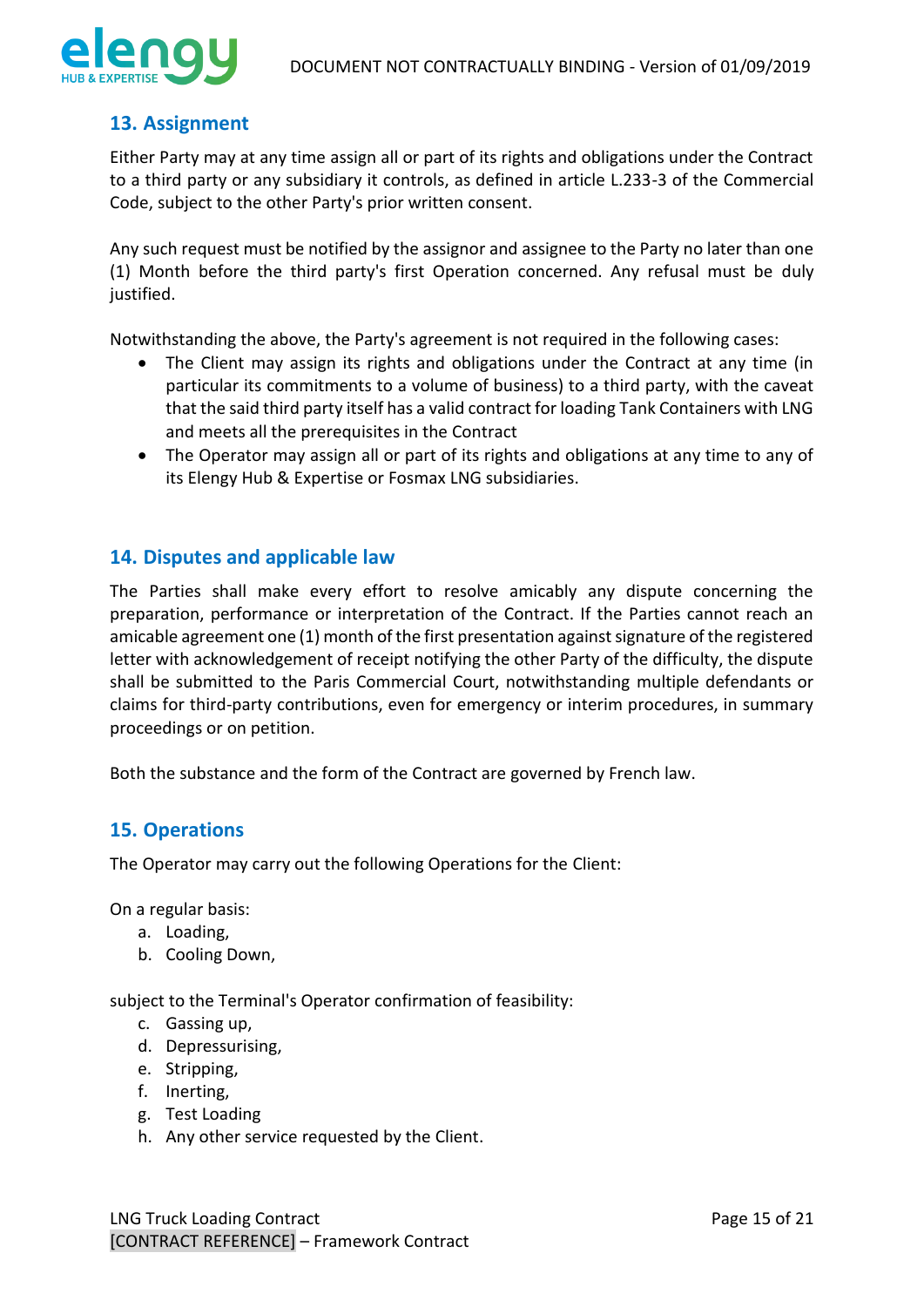

## <span id="page-14-0"></span>**13. Assignment**

Either Party may at any time assign all or part of its rights and obligations under the Contract to a third party or any subsidiary it controls, as defined in article L.233-3 of the Commercial Code, subject to the other Party's prior written consent.

Any such request must be notified by the assignor and assignee to the Party no later than one (1) Month before the third party's first Operation concerned. Any refusal must be duly justified.

Notwithstanding the above, the Party's agreement is not required in the following cases:

- The Client may assign its rights and obligations under the Contract at any time (in particular its commitments to a volume of business) to a third party, with the caveat that the said third party itself has a valid contract for loading Tank Containers with LNG and meets all the prerequisites in the Contract
- The Operator may assign all or part of its rights and obligations at any time to any of its Elengy Hub & Expertise or Fosmax LNG subsidiaries.

## <span id="page-14-1"></span>**14. Disputes and applicable law**

The Parties shall make every effort to resolve amicably any dispute concerning the preparation, performance or interpretation of the Contract. If the Parties cannot reach an amicable agreement one (1) month of the first presentation against signature of the registered letter with acknowledgement of receipt notifying the other Party of the difficulty, the dispute shall be submitted to the Paris Commercial Court, notwithstanding multiple defendants or claims for third-party contributions, even for emergency or interim procedures, in summary proceedings or on petition.

Both the substance and the form of the Contract are governed by French law.

## <span id="page-14-2"></span>**15. Operations**

The Operator may carry out the following Operations for the Client:

On a regular basis:

- a. Loading,
- b. Cooling Down,

subject to the Terminal's Operator confirmation of feasibility:

- c. Gassing up,
- d. Depressurising,
- e. Stripping,
- f. Inerting,
- g. Test Loading
- h. Any other service requested by the Client.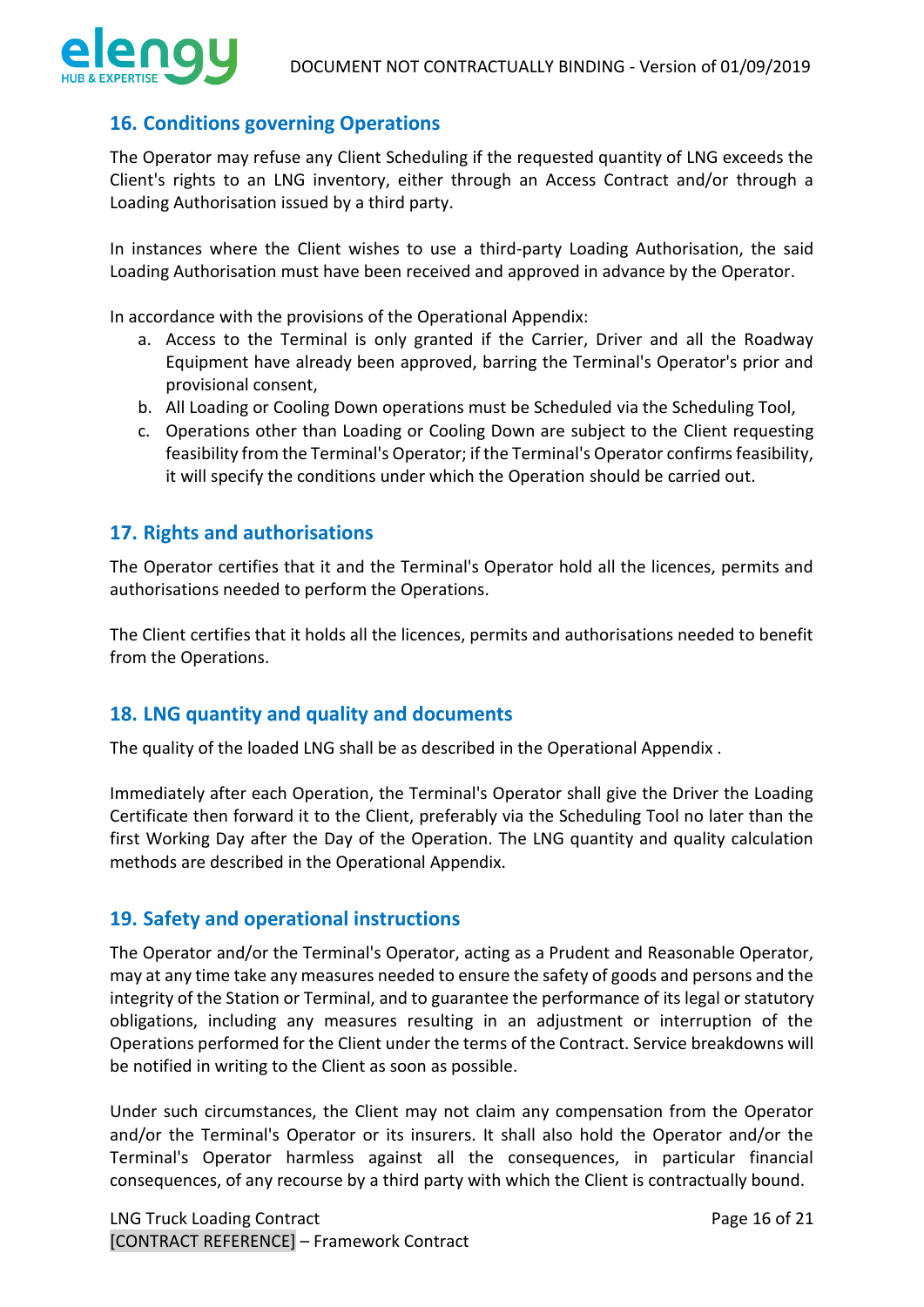## <span id="page-15-0"></span>**16. Conditions governing Operations**

The Operator may refuse any Client Scheduling if the requested quantity of LNG exceeds the Client's rights to an LNG inventory, either through an Access Contract and/or through a Loading Authorisation issued by a third party.

In instances where the Client wishes to use a third-party Loading Authorisation, the said Loading Authorisation must have been received and approved in advance by the Operator.

In accordance with the provisions of the Operational Appendix:

- a. Access to the Terminal is only granted if the Carrier, Driver and all the Roadway Equipment have already been approved, barring the Terminal's Operator's prior and provisional consent,
- b. All Loading or Cooling Down operations must be Scheduled via the Scheduling Tool,
- c. Operations other than Loading or Cooling Down are subject to the Client requesting feasibility from the Terminal's Operator; if the Terminal's Operator confirms feasibility, it will specify the conditions under which the Operation should be carried out.

## <span id="page-15-1"></span>**17. Rights and authorisations**

The Operator certifies that it and the Terminal's Operator hold all the licences, permits and authorisations needed to perform the Operations.

The Client certifies that it holds all the licences, permits and authorisations needed to benefit from the Operations.

## <span id="page-15-2"></span>**18. LNG quantity and quality and documents**

The quality of the loaded LNG shall be as described in the Operational Appendix .

Immediately after each Operation, the Terminal's Operator shall give the Driver the Loading Certificate then forward it to the Client, preferably via the Scheduling Tool no later than the first Working Day after the Day of the Operation. The LNG quantity and quality calculation methods are described in the Operational Appendix.

## <span id="page-15-3"></span>**19. Safety and operational instructions**

The Operator and/or the Terminal's Operator, acting as a Prudent and Reasonable Operator, may at any time take any measures needed to ensure the safety of goods and persons and the integrity of the Station or Terminal, and to guarantee the performance of its legal or statutory obligations, including any measures resulting in an adjustment or interruption of the Operations performed for the Client under the terms of the Contract. Service breakdowns will be notified in writing to the Client as soon as possible.

Under such circumstances, the Client may not claim any compensation from the Operator and/or the Terminal's Operator or its insurers. It shall also hold the Operator and/or the Terminal's Operator harmless against all the consequences, in particular financial consequences, of any recourse by a third party with which the Client is contractually bound.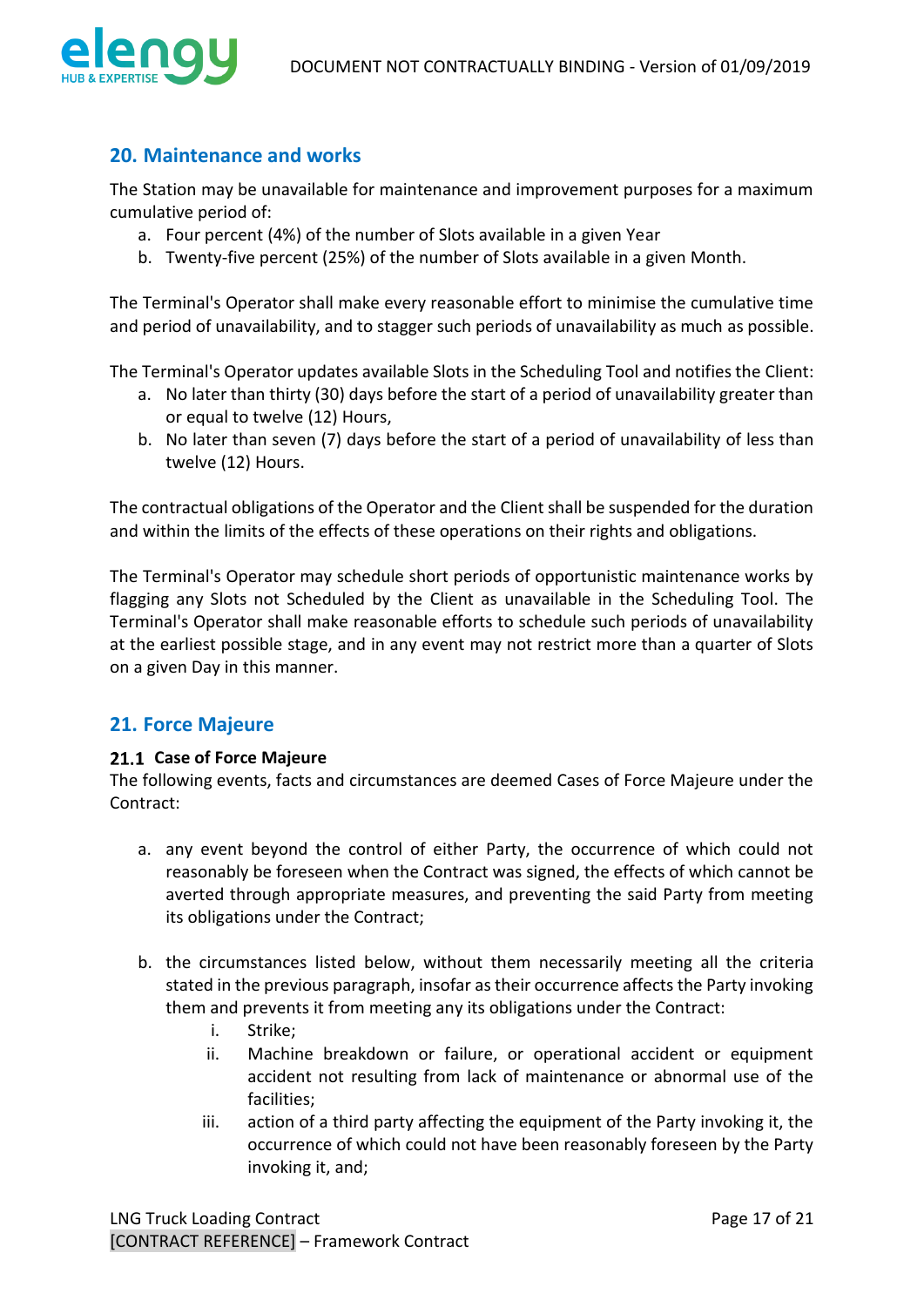

## <span id="page-16-0"></span>**20. Maintenance and works**

The Station may be unavailable for maintenance and improvement purposes for a maximum cumulative period of:

- a. Four percent (4%) of the number of Slots available in a given Year
- b. Twenty-five percent (25%) of the number of Slots available in a given Month.

The Terminal's Operator shall make every reasonable effort to minimise the cumulative time and period of unavailability, and to stagger such periods of unavailability as much as possible.

The Terminal's Operator updates available Slots in the Scheduling Tool and notifies the Client:

- a. No later than thirty (30) days before the start of a period of unavailability greater than or equal to twelve (12) Hours,
- b. No later than seven (7) days before the start of a period of unavailability of less than twelve (12) Hours.

The contractual obligations of the Operator and the Client shall be suspended for the duration and within the limits of the effects of these operations on their rights and obligations.

The Terminal's Operator may schedule short periods of opportunistic maintenance works by flagging any Slots not Scheduled by the Client as unavailable in the Scheduling Tool. The Terminal's Operator shall make reasonable efforts to schedule such periods of unavailability at the earliest possible stage, and in any event may not restrict more than a quarter of Slots on a given Day in this manner.

## <span id="page-16-1"></span>**21. Force Majeure**

#### <span id="page-16-2"></span>21.1 Case of Force Maieure

The following events, facts and circumstances are deemed Cases of Force Majeure under the Contract:

- a. any event beyond the control of either Party, the occurrence of which could not reasonably be foreseen when the Contract was signed, the effects of which cannot be averted through appropriate measures, and preventing the said Party from meeting its obligations under the Contract;
- b. the circumstances listed below, without them necessarily meeting all the criteria stated in the previous paragraph, insofar as their occurrence affects the Party invoking them and prevents it from meeting any its obligations under the Contract:
	- i. Strike;
	- ii. Machine breakdown or failure, or operational accident or equipment accident not resulting from lack of maintenance or abnormal use of the facilities;
	- iii. action of a third party affecting the equipment of the Party invoking it, the occurrence of which could not have been reasonably foreseen by the Party invoking it, and;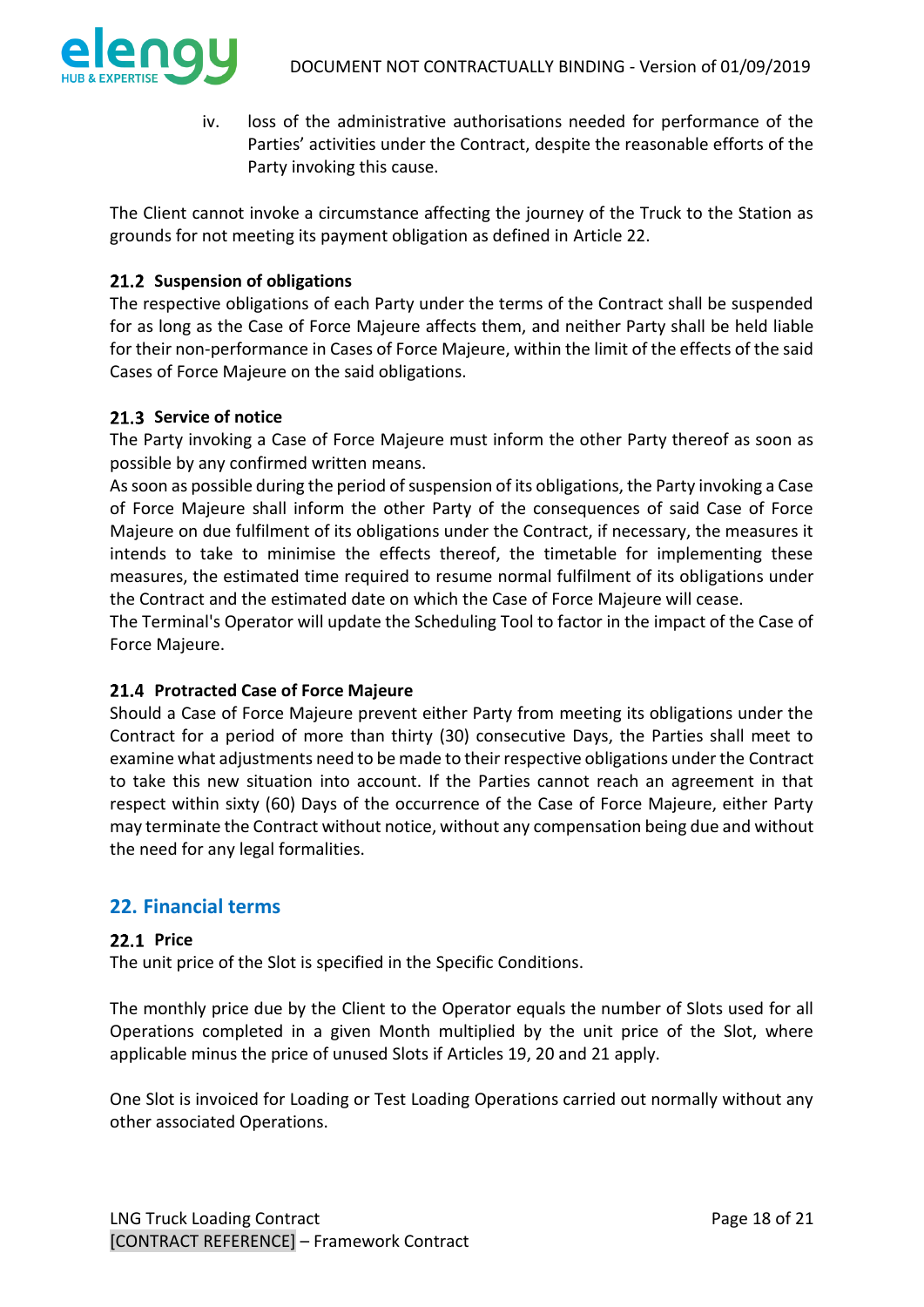

iv. loss of the administrative authorisations needed for performance of the Parties' activities under the Contract, despite the reasonable efforts of the Party invoking this cause.

The Client cannot invoke a circumstance affecting the journey of the Truck to the Station as grounds for not meeting its payment obligation as defined in Article 22.

### <span id="page-17-0"></span>21.2 Suspension of obligations

The respective obligations of each Party under the terms of the Contract shall be suspended for as long as the Case of Force Majeure affects them, and neither Party shall be held liable for their non-performance in Cases of Force Majeure, within the limit of the effects of the said Cases of Force Majeure on the said obligations.

### <span id="page-17-1"></span>21.3 Service of notice

The Party invoking a Case of Force Majeure must inform the other Party thereof as soon as possible by any confirmed written means.

As soon as possible during the period of suspension of its obligations, the Party invoking a Case of Force Majeure shall inform the other Party of the consequences of said Case of Force Majeure on due fulfilment of its obligations under the Contract, if necessary, the measures it intends to take to minimise the effects thereof, the timetable for implementing these measures, the estimated time required to resume normal fulfilment of its obligations under the Contract and the estimated date on which the Case of Force Majeure will cease.

The Terminal's Operator will update the Scheduling Tool to factor in the impact of the Case of Force Majeure.

#### <span id="page-17-2"></span>**Protracted Case of Force Majeure**

Should a Case of Force Majeure prevent either Party from meeting its obligations under the Contract for a period of more than thirty (30) consecutive Days, the Parties shall meet to examine what adjustments need to be made to their respective obligations under the Contract to take this new situation into account. If the Parties cannot reach an agreement in that respect within sixty (60) Days of the occurrence of the Case of Force Majeure, either Party may terminate the Contract without notice, without any compensation being due and without the need for any legal formalities.

### <span id="page-17-3"></span>**22. Financial terms**

#### <span id="page-17-4"></span>**22.1 Price**

The unit price of the Slot is specified in the Specific Conditions.

The monthly price due by the Client to the Operator equals the number of Slots used for all Operations completed in a given Month multiplied by the unit price of the Slot, where applicable minus the price of unused Slots if Articles 19, 20 and 21 apply.

One Slot is invoiced for Loading or Test Loading Operations carried out normally without any other associated Operations.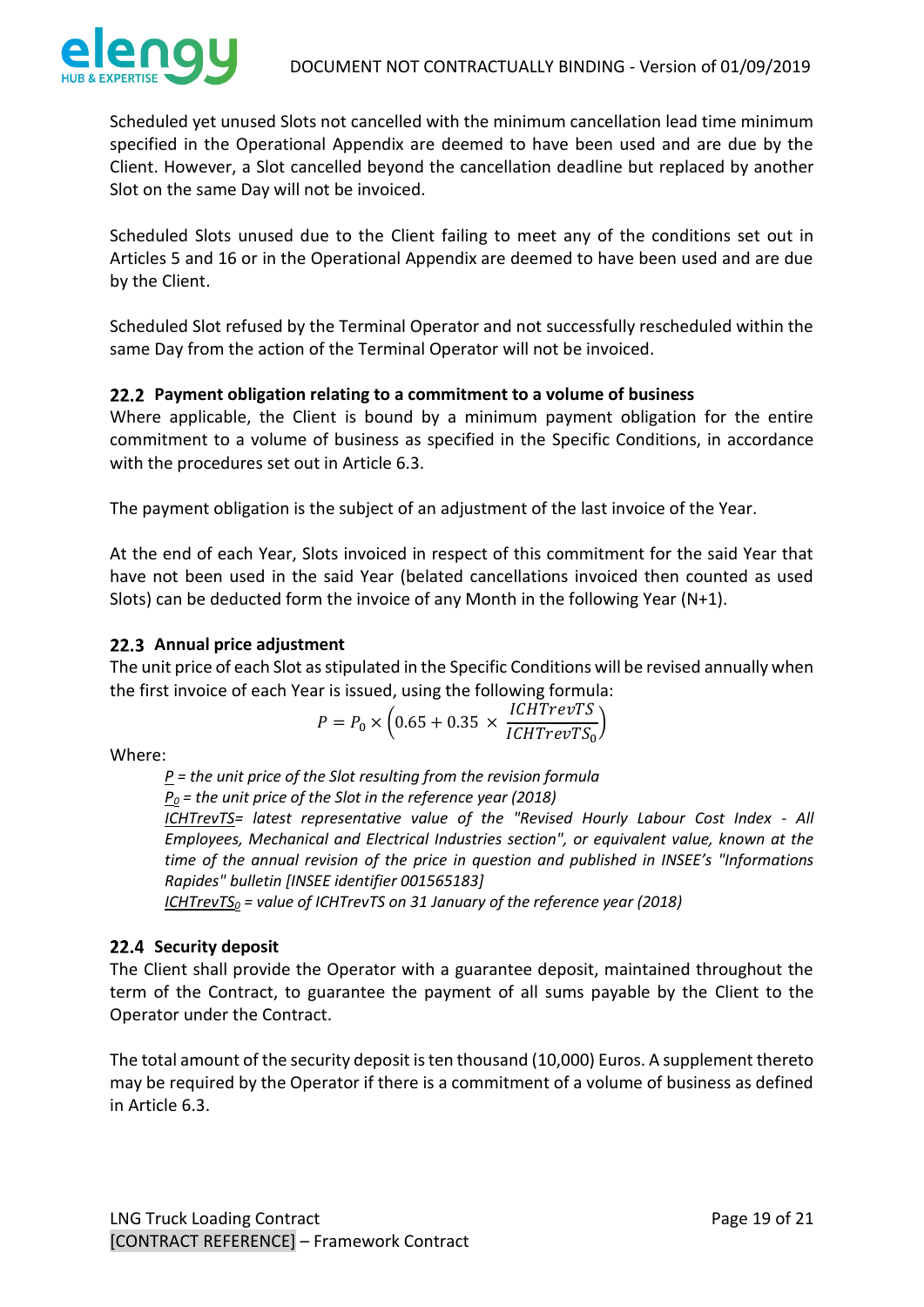

Scheduled yet unused Slots not cancelled with the minimum cancellation lead time minimum specified in the Operational Appendix are deemed to have been used and are due by the Client. However, a Slot cancelled beyond the cancellation deadline but replaced by another Slot on the same Day will not be invoiced.

Scheduled Slots unused due to the Client failing to meet any of the conditions set out in Articles 5 and 16 or in the Operational Appendix are deemed to have been used and are due by the Client.

Scheduled Slot refused by the Terminal Operator and not successfully rescheduled within the same Day from the action of the Terminal Operator will not be invoiced.

### <span id="page-18-0"></span>**Payment obligation relating to a commitment to a volume of business**

Where applicable, the Client is bound by a minimum payment obligation for the entire commitment to a volume of business as specified in the Specific Conditions, in accordance with the procedures set out in Article 6.3.

The payment obligation is the subject of an adjustment of the last invoice of the Year.

At the end of each Year, Slots invoiced in respect of this commitment for the said Year that have not been used in the said Year (belated cancellations invoiced then counted as used Slots) can be deducted form the invoice of any Month in the following Year (N+1).

### <span id="page-18-1"></span>22.3 Annual price adjustment

The unit price of each Slot as stipulated in the Specific Conditions will be revised annually when the first invoice of each Year is issued, using the following formula:

$$
P = P_0 \times \left(0.65 + 0.35 \times \frac{ICHTrevTS}{ICHTrevTS_0}\right)
$$

Where:

*P = the unit price of the Slot resulting from the revision formula* 

*P<sup>0</sup> = the unit price of the Slot in the reference year (2018)*

*ICHTrevTS= latest representative value of the "Revised Hourly Labour Cost Index - All Employees, Mechanical and Electrical Industries section", or equivalent value, known at the time of the annual revision of the price in question and published in INSEE's "Informations Rapides" bulletin [INSEE identifier 001565183]*

*ICHTrevTS<sup>0</sup> = value of ICHTrevTS on 31 January of the reference year (2018)*

### <span id="page-18-2"></span>22.4 Security deposit

The Client shall provide the Operator with a guarantee deposit, maintained throughout the term of the Contract, to guarantee the payment of all sums payable by the Client to the Operator under the Contract.

The total amount of the security deposit is ten thousand (10,000) Euros. A supplement thereto may be required by the Operator if there is a commitment of a volume of business as defined in Article 6.3.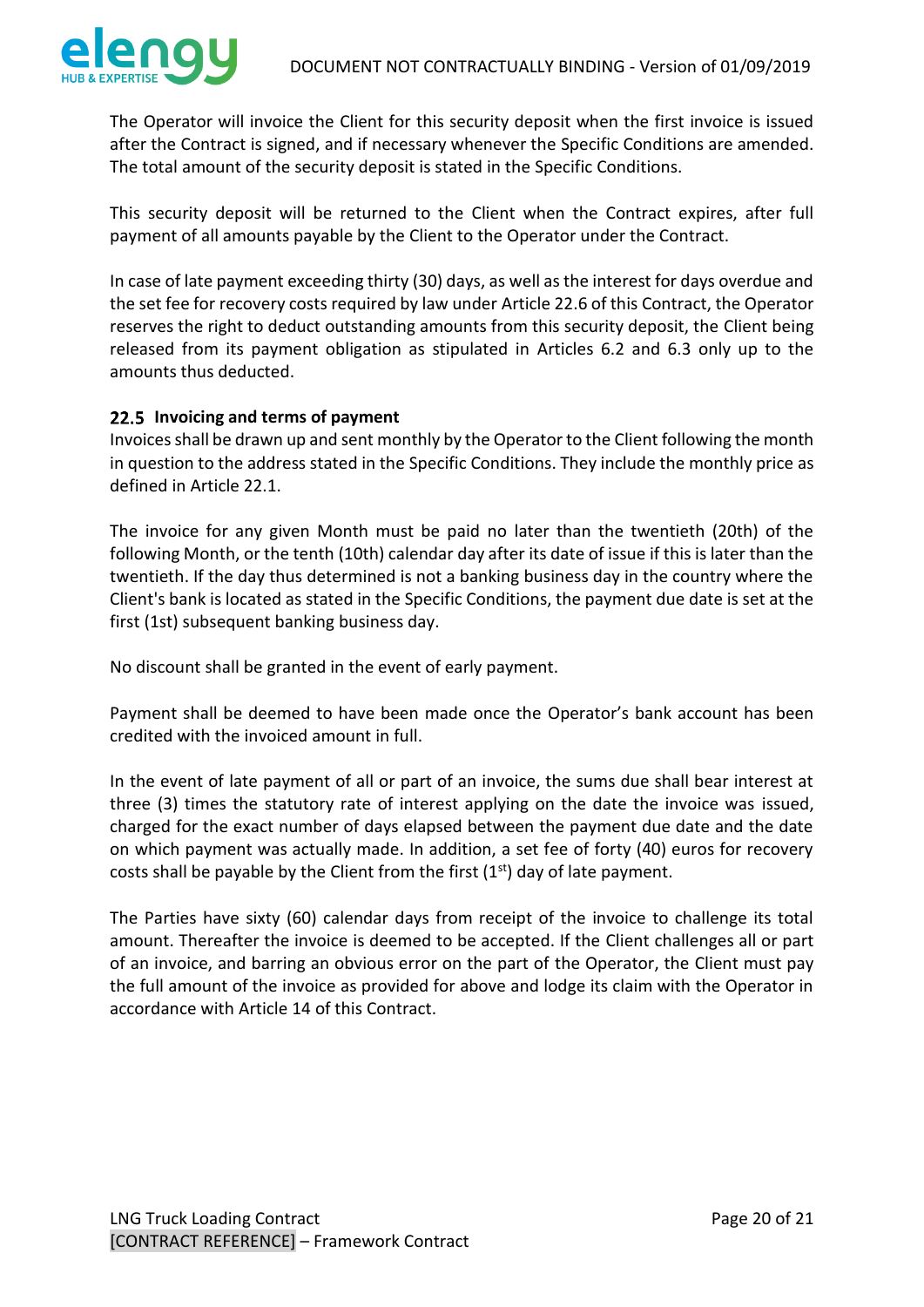

The Operator will invoice the Client for this security deposit when the first invoice is issued after the Contract is signed, and if necessary whenever the Specific Conditions are amended. The total amount of the security deposit is stated in the Specific Conditions.

This security deposit will be returned to the Client when the Contract expires, after full payment of all amounts payable by the Client to the Operator under the Contract.

In case of late payment exceeding thirty (30) days, as well as the interest for days overdue and the set fee for recovery costs required by law under Article 22.6 of this Contract, the Operator reserves the right to deduct outstanding amounts from this security deposit, the Client being released from its payment obligation as stipulated in Articles 6.2 and 6.3 only up to the amounts thus deducted.

#### <span id="page-19-0"></span>**Invoicing and terms of payment**

Invoices shall be drawn up and sent monthly by the Operator to the Client following the month in question to the address stated in the Specific Conditions. They include the monthly price as defined in Article 22.1.

The invoice for any given Month must be paid no later than the twentieth (20th) of the following Month, or the tenth (10th) calendar day after its date of issue if this is later than the twentieth. If the day thus determined is not a banking business day in the country where the Client's bank is located as stated in the Specific Conditions, the payment due date is set at the first (1st) subsequent banking business day.

No discount shall be granted in the event of early payment.

Payment shall be deemed to have been made once the Operator's bank account has been credited with the invoiced amount in full.

In the event of late payment of all or part of an invoice, the sums due shall bear interest at three (3) times the statutory rate of interest applying on the date the invoice was issued, charged for the exact number of days elapsed between the payment due date and the date on which payment was actually made. In addition, a set fee of forty (40) euros for recovery costs shall be payable by the Client from the first  $(1<sup>st</sup>)$  day of late payment.

The Parties have sixty (60) calendar days from receipt of the invoice to challenge its total amount. Thereafter the invoice is deemed to be accepted. If the Client challenges all or part of an invoice, and barring an obvious error on the part of the Operator, the Client must pay the full amount of the invoice as provided for above and lodge its claim with the Operator in accordance with Article 14 of this Contract.